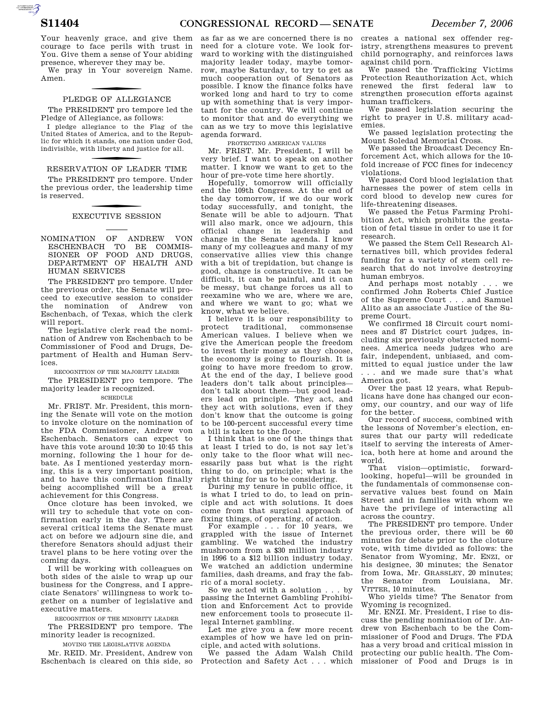Your heavenly grace, and give them courage to face perils with trust in You. Give them a sense of Your abiding presence, wherever they may be.

We pray in Your sovereign Name. Amen.

# PLEDGE OF ALLEGIANCE

The PRESIDENT pro tempore led the Pledge of Allegiance, as follows:

I pledge allegiance to the Flag of the United States of America, and to the Republic for which it stands, one nation under God, indivisible, with liberty and justice for all.

# RESERVATION OF LEADER TIME

The PRESIDENT pro tempore. Under the previous order, the leadership time is reserved.

# f EXECUTIVE SESSION

NOMINATION OF ANDREW VON ESCHENBACH TO BE COMMIS-SIONER OF FOOD AND DRUGS, DEPARTMENT OF HEALTH AND HUMAN SERVICES

The PRESIDENT pro tempore. Under the previous order, the Senate will proceed to executive session to consider the nomination of Andrew von Eschenbach, of Texas, which the clerk will report.

The legislative clerk read the nomination of Andrew von Eschenbach to be Commissioner of Food and Drugs, Department of Health and Human Services.

RECOGNITION OF THE MAJORITY LEADER

The PRESIDENT pro tempore. The majority leader is recognized.

### SCHEDULE

Mr. FRIST. Mr. President, this morning the Senate will vote on the motion to invoke cloture on the nomination of the FDA Commissioner, Andrew von Eschenbach. Senators can expect to have this vote around 10:30 to  $10:45$  this morning, following the 1 hour for debate. As I mentioned yesterday morning, this is a very important position, and to have this confirmation finally being accomplished will be a great achievement for this Congress.

Once cloture has been invoked, we will try to schedule that vote on confirmation early in the day. There are several critical items the Senate must act on before we adjourn sine die, and therefore Senators should adjust their travel plans to be here voting over the coming days.

I will be working with colleagues on both sides of the aisle to wrap up our business for the Congress, and I appreciate Senators' willingness to work together on a number of legislative and executive matters.

RECOGNITION OF THE MINORITY LEADER

The PRESIDENT pro tempore. The minority leader is recognized.

MOVING THE LEGISLATIVE AGENDA

Mr. REID. Mr. President, Andrew von Eschenbach is cleared on this side, so

as far as we are concerned there is no need for a cloture vote. We look forward to working with the distinguished majority leader today, maybe tomorrow, maybe Saturday, to try to get as much cooperation out of Senators as possible. I know the finance folks have worked long and hard to try to come up with something that is very important for the country. We will continue to monitor that and do everything we can as we try to move this legislative agenda forward.

PROTECTING AMERICAN VALUES

Mr. FRIST. Mr. President, I will be very brief. I want to speak on another matter. I know we want to get to the hour of pre-vote time here shortly.

Hopefully, tomorrow will officially end the 109th Congress. At the end of the day tomorrow, if we do our work today successfully, and tonight, the Senate will be able to adjourn. That will also mark, once we adjourn, this official change in leadership and change in the Senate agenda. I know many of my colleagues and many of my conservative allies view this change with a bit of trepidation, but change is good, change is constructive. It can be difficult, it can be painful, and it can be messy, but change forces us all to reexamine who we are, where we are, and where we want to go; what we know, what we believe.

I believe it is our responsibility to protect traditional, commonsense American values. I believe when we give the American people the freedom to invest their money as they choose, the economy is going to flourish. It is going to have more freedom to grow. At the end of the day, I believe good leaders don't talk about principles don't talk about them—but good leaders lead on principle. They act, and they act with solutions, even if they don't know that the outcome is going to be 100-percent successful every time a bill is taken to the floor.

I think that is one of the things that at least I tried to do, is not say let's only take to the floor what will necessarily pass but what is the right thing to do, on principle; what is the right thing for us to be considering.

During my tenure in public office, it is what I tried to do, to lead on principle and act with solutions. It does come from that surgical approach of fixing things, of operating, of action.

For example . . . for 10 years, we grappled with the issue of Internet gambling. We watched the industry mushroom from a \$30 million industry in 1996 to a \$12 billion industry today. We watched an addiction undermine families, dash dreams, and fray the fabric of a moral society.

So we acted with a solution . . . by passing the Internet Gambling Prohibition and Enforcement Act to provide new enforcement tools to prosecute illegal Internet gambling.

Let me give you a few more recent examples of how we have led on principle, and acted with solutions.

We passed the Adam Walsh Child Protection and Safety Act . . . which

creates a national sex offender registry, strengthens measures to prevent child pornography, and reinforces laws against child porn.

We passed the Trafficking Victims Protection Reauthorization Act, which renewed the first federal law to strengthen prosecution efforts against human traffickers.

We passed legislation securing the right to prayer in U.S. military academies.

We passed legislation protecting the Mount Soledad Memorial Cross.

We passed the Broadcast Decency Enforcement Act, which allows for the 10 fold increase of FCC fines for indecency violations.

We passed Cord blood legislation that harnesses the power of stem cells in cord blood to develop new cures for life-threatening diseases.

We passed the Fetus Farming Prohibition Act, which prohibits the gestation of fetal tissue in order to use it for research.

We passed the Stem Cell Research Alternatives bill, which provides federal funding for a variety of stem cell research that do not involve destroying human embryos.

And perhaps most notably . . . we confirmed John Roberts Chief Justice of the Supreme Court . . . and Samuel Alito as an associate Justice of the Supreme Court.

We confirmed 18 Circuit court nominees and 87 District court judges, including six previously obstructed nominees. America needs judges who are fair, independent, unbiased, and committed to equal justice under the law . . . and we made sure that's what America got.

Over the past 12 years, what Republicans have done has changed our economy, our country, and our way of life for the better.

Our record of success, combined with the lessons of November's election, ensures that our party will rededicate itself to serving the interests of America, both here at home and around the world.

vision—optimistic, forwardlooking, hopeful—will be grounded in the fundamentals of commonsense conservative values best found on Main Street and in families with whom we have the privilege of interacting all across the country.

The PRESIDENT pro tempore. Under the previous order, there will be 60 minutes for debate prior to the cloture vote, with time divided as follows: the Senator from Wyoming, Mr. ENZI, or his designee, 30 minutes; the Senator from Iowa, Mr. GRASSLEY, 20 minutes; the Senator from Louisiana, Mr. VITTER, 10 minutes.

Who yields time? The Senator from Wyoming is recognized.

Mr. ENZI. Mr. President, I rise to discuss the pending nomination of Dr. Andrew von Eschenbach to be the Commissioner of Food and Drugs. The FDA has a very broad and critical mission in protecting our public health. The Commissioner of Food and Drugs is in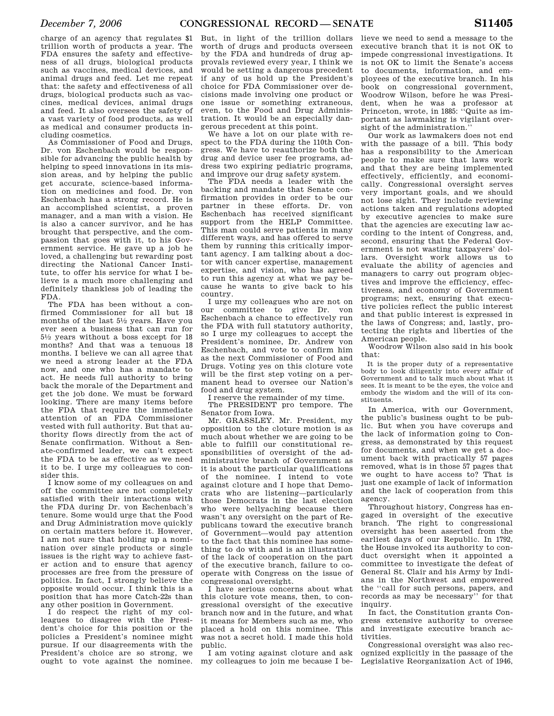charge of an agency that regulates \$1 trillion worth of products a year. The FDA ensures the safety and effectiveness of all drugs, biological products such as vaccines, medical devices, and animal drugs and feed. Let me repeat that: the safety and effectiveness of all drugs, biological products such as vaccines, medical devices, animal drugs and feed. It also oversees the safety of a vast variety of food products, as well as medical and consumer products including cosmetics.

As Commissioner of Food and Drugs, Dr. von Eschenbach would be responsible for advancing the public health by helping to speed innovations in its mission areas, and by helping the public get accurate, science-based information on medicines and food. Dr. von Eschenbach has a strong record. He is an accomplished scientist, a proven manager, and a man with a vision. He is also a cancer survivor, and he has brought that perspective, and the compassion that goes with it, to his Government service. He gave up a job he loved, a challenging but rewarding post directing the National Cancer Institute, to offer his service for what I believe is a much more challenging and definitely thankless job of leading the FDA.

The FDA has been without a confirmed Commissioner for all but 18 months of the last 51⁄2 years. Have you ever seen a business that can run for  $5\frac{1}{2}$  years without a boss except for 18 months? And that was a tenuous 18 months. I believe we can all agree that we need a strong leader at the FDA now, and one who has a mandate to act. He needs full authority to bring back the morale of the Department and get the job done. We must be forward looking. There are many items before the FDA that require the immediate attention of an FDA Commissioner vested with full authority. But that authority flows directly from the act of Senate confirmation. Without a Senate-confirmed leader, we can't expect the FDA to be as effective as we need it to be. I urge my colleagues to consider this.

I know some of my colleagues on and off the committee are not completely satisfied with their interactions with the FDA during Dr. von Eschenbach's tenure. Some would urge that the Food and Drug Administration move quickly on certain matters before it. However, I am not sure that holding up a nomination over single products or single issues is the right way to achieve faster action and to ensure that agency processes are free from the pressure of politics. In fact, I strongly believe the opposite would occur. I think this is a position that has more Catch-22s than any other position in Government.

I do respect the right of my colleagues to disagree with the President's choice for this position or the policies a President's nominee might pursue. If our disagreements with the President's choice are so strong, we ought to vote against the nominee.

But, in light of the trillion dollars worth of drugs and products overseen by the FDA and hundreds of drug approvals reviewed every year, I think we would be setting a dangerous precedent if any of us hold up the President's choice for FDA Commissioner over decisions made involving one product or one issue or something extraneous, even, to the Food and Drug Administration. It would be an especially dangerous precedent at this point.

We have a lot on our plate with respect to the FDA during the 110th Congress. We have to reauthorize both the drug and device user fee programs, address two expiring pediatric programs, and improve our drug safety system.

The FDA needs a leader with the backing and mandate that Senate confirmation provides in order to be our partner in these efforts. Dr. von Eschenbach has received significant support from the HELP Committee. This man could serve patients in many different ways, and has offered to serve them by running this critically important agency. I am talking about a doctor with cancer expertise, management expertise, and vision, who has agreed to run this agency at what we pay because he wants to give back to his country.

I urge my colleagues who are not on our committee to give Dr. von Eschenbach a chance to effectively run the FDA with full statutory authority, so I urge my colleagues to accept the President's nominee, Dr. Andrew von Eschenbach, and vote to confirm him as the next Commissioner of Food and Drugs. Voting yes on this cloture vote will be the first step voting on a permanent head to oversee our Nation's food and drug system.

I reserve the remainder of my time.

The PRESIDENT pro tempore. The Senator from Iowa.

Mr. GRASSLEY. Mr. President, my opposition to the cloture motion is as much about whether we are going to be able to fulfill our constitutional responsibilities of oversight of the administrative branch of Government as it is about the particular qualifications of the nominee. I intend to vote against cloture and I hope that Democrats who are listening—particularly those Democrats in the last election who were bellyaching because there wasn't any oversight on the part of Republicans toward the executive branch of Government—would pay attention to the fact that this nominee has something to do with and is an illustration of the lack of cooperation on the part of the executive branch, failure to cooperate with Congress on the issue of congressional oversight.

I have serious concerns about what this cloture vote means, then, to congressional oversight of the executive branch now and in the future, and what it means for Members such as me, who placed a hold on this nominee. This was not a secret hold. I made this hold public.

I am voting against cloture and ask my colleagues to join me because I believe we need to send a message to the executive branch that it is not OK to impede congressional investigations. It is not OK to limit the Senate's access to documents, information, and employees of the executive branch. In his book on congressional government, Woodrow Wilson, before he was President, when he was a professor at Princeton, wrote, in 1885: ''Quite as important as lawmaking is vigilant oversight of the administration.''

Our work as lawmakers does not end with the passage of a bill. This body has a responsibility to the American people to make sure that laws work and that they are being implemented effectively, efficiently, and economically. Congressional oversight serves very important goals, and we should not lose sight. They include reviewing actions taken and regulations adopted by executive agencies to make sure that the agencies are executing law according to the intent of Congress, and, second, ensuring that the Federal Government is not wasting taxpayers' dollars. Oversight work allows us to evaluate the ability of agencies and managers to carry out program objectives and improve the efficiency, effectiveness, and economy of Government programs; next, ensuring that executive policies reflect the public interest and that public interest is expressed in the laws of Congress; and, lastly, protecting the rights and liberties of the American people.

Woodrow Wilson also said in his book that:

It is the proper duty of a representative body to look diligently into every affair of Government and to talk much about what it sees. It is meant to be the eyes, the voice and embody the wisdom and the will of its constituents.

In America, with our Government, the public's business ought to be public. But when you have coverups and the lack of information going to Congress, as demonstrated by this request for documents, and when we get a document back with practically 57 pages removed, what is in those 57 pages that we ought to have access to? That is just one example of lack of information and the lack of cooperation from this agency.

Throughout history, Congress has engaged in oversight of the executive branch. The right to congressional oversight has been asserted from the earliest days of our Republic. In 1792, the House invoked its authority to conduct oversight when it appointed a committee to investigate the defeat of General St. Clair and his Army by Indians in the Northwest and empowered the ''call for such persons, papers, and records as may be necessary'' for that inquiry

In fact, the Constitution grants Congress extensive authority to oversee and investigate executive branch activities.

Congressional oversight was also recognized explicitly in the passage of the Legislative Reorganization Act of 1946,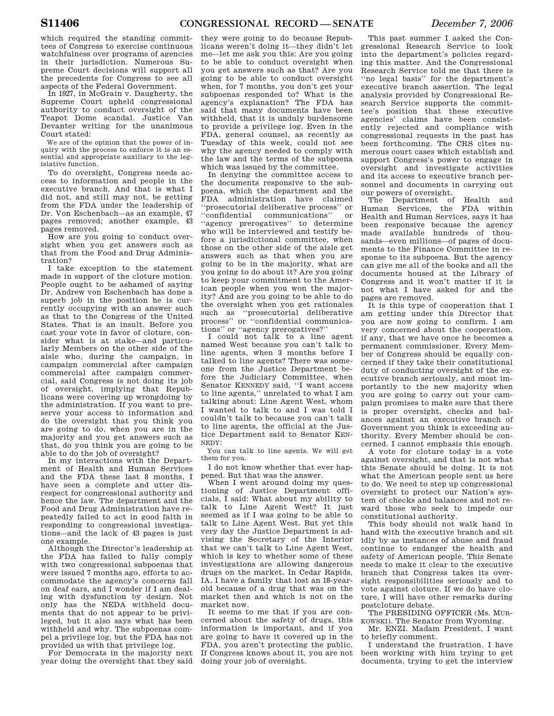which required the standing committees of Congress to exercise continuous watchfulness over programs of agencies in their jurisdiction. Numerous Supreme Court decisions will support all the precedents for Congress to see all aspects of the Federal Government.

In 1927, in McGrain v. Daugherty, the Supreme Court upheld congressional authority to conduct oversight of the Teapot Dome scandal. Justice Van Devanter writing for the unanimous Court stated:

We are of the opinion that the power of inquiry with the process to enforce it is an essential and appropriate auxiliary to the legislative function.

To do oversight, Congress needs access to information and people in the executive branch. And that is what I did not, and still may not, be getting from the FDA under the leadership of Dr. Von Eschenbach—as an example, 47 pages removed; another example, 43 pages removed.

How are you going to conduct oversight when you get answers such as that from the Food and Drug Administration?

I take exception to the statement made in support of the cloture motion. People ought to be ashamed of saying Dr. Andrew von Eschenbach has done a superb job in the position he is currently occupying with an answer such as that to the Congress of the United States. That is an insult. Before you cast your vote in favor of cloture, consider what is at stake—and particularly Members on the other side of the aisle who, during the campaign, in campaign commercial after campaign commercial after campaign commercial, said Congress is not doing its job of oversight, implying that Republicans were covering up wrongdoing by the administration. If you want to preserve your access to information and do the oversight that you think you are going to do, when you are in the majority and you get answers such as that, do you think you are going to be able to do the job of oversight?

In my interactions with the Department of Health and Human Services and the FDA these last 8 months, I have seen a complete and utter disrespect for congressional authority and hence the law. The department and the Food and Drug Administration have repeatedly failed to act in good faith in responding to congressional investigations—and the lack of 43 pages is just one example.

Although the Director's leadership at the FDA has failed to fully comply with two congressional subpoenas that were issued 7 months ago, efforts to accommodate the agency's concerns fall on deaf ears, and I wonder if I am dealing with dysfunction by design. Not only has the NEDA withheld documents that do not appear to be privileged, but it also says what has been withheld and why. The subpoenas compel a privilege log, but the FDA has not provided us with that privilege log.

For Democrats in the majority next year doing the oversight that they said

they were going to do because Republicans weren't doing it—they didn't let me—let me ask you this: Are you going to be able to conduct oversight when you get answers such as that? Are you going to be able to conduct oversight when, for 7 months, you don't get your subpoenas responded to? What is the agency's explanation? The FDA has said that many documents have been withheld, that it is unduly burdensome to provide a privilege log. Even in the FDA, general counsel, as recently as Tuesday of this week, could not see why the agency needed to comply with the law and the terms of the subpoena which was issued by the committee.

In denying the committee access to the documents responsive to the subpoena, which the department and the FDA administration have claimed ''prosecutorial deliberative process'' or ''confidential communications'' or ''agency prerogatives'' to determine who will be interviewed and testify before a jurisdictional committee, when those on the other side of the aisle get answers such as that when you are going to be in the majority, what are you going to do about it? Are you going to keep your commitment to the American people when you won the majority? And are you going to be able to do the oversight when you get rationales such as ''prosecutorial deliberative process'' or ''confidential communications'' or ''agency prerogatives?''

I could not talk to a line agent named West because you can't talk to line agents, when 3 months before I talked to line agents? There was someone from the Justice Department before the Judiciary Committee, when Senator KENNEDY said, ''I want access to line agents,'' unrelated to what I am talking about: Line Agent West, whom I wanted to talk to and I was told I couldn't talk to because you can't talk to line agents, the official at the Justice Department said to Senator KEN-NEDY:

You can talk to line agents. We will get them for you.

I do not know whether that ever happened. But that was the answer.

When I went around doing my questioning of Justice Department officials, I said: What about my ability to talk to Line Agent West? It just seemed as if I was going to be able to talk to Line Agent West. But yet this very day the Justice Department is advising the Secretary of the Interior that we can't talk to Line Agent West, which is key to whether some of these investigations are allowing dangerous drugs on the market. In Cedar Rapids, IA, I have a family that lost an 18-yearold because of a drug that was on the market then and which is not on the market now.

It seems to me that if you are concerned about the safety of drugs, this information is important, and if you are going to have it covered up in the FDA, you aren't protecting the public. If Congress knows about it, you are not doing your job of oversight.

This past summer I asked the Congressional Research Service to look into the department's policies regarding this matter. And the Congressional Research Service told me that there is ''no legal basis'' for the department's executive branch assertion. The legal analysis provided by Congressional Research Service supports the committee's position that these executive agencies' claims have been consistently rejected and compliance with congressional requests in the past has been forthcoming. The CRS cites numerous court cases which establish and support Congress's power to engage in oversight and investigate activities and its access to executive branch personnel and documents in carrying out our powers of oversight.

The Department of Health and Human Services, the FDA within Health and Human Services, says it has been responsive because the agency made available hundreds of thousands—even millions—of pages of documents to the Finance Committee in response to its subpoena. But the agency can give me all of the books and all the documents housed at the Library of Congress and it won't matter if it is not what I have asked for and the pages are removed.

It is this type of cooperation that I am getting under this Director that you are now going to confirm. I am very concerned about the cooperation, if any, that we have once he becomes a permanent commissioner. Every Member of Congress should be equally concerned if they take their constitutional duty of conducting oversight of the executive branch seriously, and most importantly to the new majority when you are going to carry out your campaign promises to make sure that there is proper oversight, checks and balances against an executive branch of Government you think is exceeding authority. Every Member should be concerned. I cannot emphasis this enough.

A vote for cloture today is a vote against oversight, and that is not what this Senate should be doing. It is not what the American people sent us here to do. We need to step up congressional oversight to protect our Nation's system of checks and balances and not reward those who seek to impede our constitutional authority.

This body should not walk hand in hand with the executive branch and sit idly by as instances of abuse and fraud continue to endanger the health and safety of American people. This Senate needs to make it clear to the executive branch that Congress takes its oversight responsibilities seriously and to vote against cloture. If we do have cloture, I will have other remarks during postcloture debate.

The PRESIDING OFFICER (Ms. MUR-KOWSKI). The Senator from Wyoming.

Mr. ENZI. Madam President, I want to briefly comment.

I understand the frustration. I have been working with him trying to get documents, trying to get the interview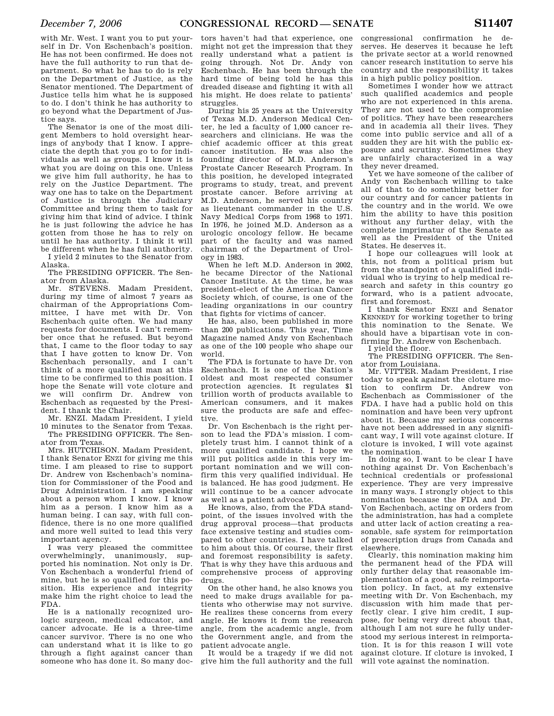with Mr. West. I want you to put yourself in Dr. Von Eschenbach's position. He has not been confirmed. He does not have the full authority to run that department. So what he has to do is rely on the Department of Justice, as the Senator mentioned. The Department of Justice tells him what he is supposed to do. I don't think he has authority to go beyond what the Department of Justice says.

The Senator is one of the most diligent Members to hold oversight hearings of anybody that I know. I appreciate the depth that you go to for individuals as well as groups. I know it is what you are doing on this one. Unless we give him full authority, he has to rely on the Justice Department. The way one has to take on the Department of Justice is through the Judiciary Committee and bring them to task for giving him that kind of advice. I think he is just following the advice he has gotten from those he has to rely on until he has authority. I think it will be different when he has full authority. I yield 2 minutes to the Senator from

Alaska.

The PRESIDING OFFICER. The Senator from Alaska.

Mr. STEVENS. Madam President, during my time of almost 7 years as chairman of the Appropriations Committee, I have met with Dr. Von Eschenbach quite often. We had many requests for documents. I can't remember once that he refused. But beyond that, I came to the floor today to say that I have gotten to know Dr. Von Eschenbach personally, and I can't think of a more qualified man at this time to be confirmed to this position. I hope the Senate will vote cloture and we will confirm Dr. Andrew von Eschenbach as requested by the President. I thank the Chair.

Mr. ENZI. Madam President, I yield 10 minutes to the Senator from Texas. The PRESIDING OFFICER. The Senator from Texas.

Mrs. HUTCHISON. Madam President, I thank Senator ENZI for giving me this time. I am pleased to rise to support Dr. Andrew von Eschenbach's nomination for Commissioner of the Food and Drug Administration. I am speaking about a person whom I know. I know him as a person. I know him as a human being. I can say, with full confidence, there is no one more qualified and more well suited to lead this very important agency.

I was very pleased the committee overwhelmingly, unanimously, supported his nomination. Not only is Dr. Von Eschenbach a wonderful friend of mine, but he is so qualified for this position. His experience and integrity make him the right choice to lead the FDA.

He is a nationally recognized urologic surgeon, medical educator, and cancer advocate. He is a three-time cancer survivor. There is no one who can understand what it is like to go through a fight against cancer than someone who has done it. So many doc-

tors haven't had that experience, one might not get the impression that they really understand what a patient is going through. Not Dr. Andy von Eschenbach. He has been through the hard time of being told he has this dreaded disease and fighting it with all his might. He does relate to patients' struggles.

During his 25 years at the University of Texas M.D. Anderson Medical Center, he led a faculty of 1,000 cancer researchers and clinicians. He was the chief academic officer at this great cancer institution. He was also the founding director of M.D. Anderson's Prostate Cancer Research Program. In this position, he developed integrated programs to study, treat, and prevent prostate cancer. Before arriving at M.D. Anderson, he served his country as lieutenant commander in the U.S. Navy Medical Corps from 1968 to 1971. In 1976, he joined M.D. Anderson as a urologic oncology fellow. He became part of the faculty and was named chairman of the Department of Urology in 1983.

When he left M.D. Anderson in 2002, he became Director of the National Cancer Institute. At the time, he was president-elect of the American Cancer Society which, of course, is one of the leading organizations in our country that fights for victims of cancer.

He has, also, been published in more than 200 publications. This year, Time Magazine named Andy von Eschenbach as one of the 100 people who shape our world.

The FDA is fortunate to have Dr. von Eschenbach. It is one of the Nation's oldest and most respected consumer protection agencies. It regulates \$1 trillion worth of products available to American consumers, and it makes sure the products are safe and effective.

Dr. Von Eschenbach is the right person to lead the FDA's mission. I completely trust him. I cannot think of a more qualified candidate. I hope we will put politics aside in this very important nomination and we will confirm this very qualified individual. He is balanced. He has good judgment. He will continue to be a cancer advocate as well as a patient advocate.

He knows, also, from the FDA standpoint, of the issues involved with the drug approval process—that products face extensive testing and studies compared to other countries. I have talked to him about this. Of course, their first and foremost responsibility is safety. That is why they have this arduous and comprehensive process of approving drugs.

On the other hand, he also knows you need to make drugs available for patients who otherwise may not survive. He realizes these concerns from every angle. He knows it from the research angle, from the academic angle, from the Government angle, and from the patient advocate angle.

It would be a tragedy if we did not give him the full authority and the full

congressional confirmation he deserves. He deserves it because he left the private sector at a world renowned cancer research institution to serve his country and the responsibility it takes in a high public policy position.

Sometimes I wonder how we attract such qualified academics and people who are not experienced in this arena. They are not used to the compromise of politics. They have been researchers and in academia all their lives. They come into public service and all of a sudden they are hit with the public exposure and scrutiny. Sometimes they are unfairly characterized in a way they never dreamed.

Yet we have someone of the caliber of Andy von Eschenbach willing to take all of that to do something better for our country and for cancer patients in the country and in the world. We owe him the ability to have this position without any further delay, with the complete imprimatur of the Senate as well as the President of the United States. He deserves it.

I hope our colleagues will look at this, not from a political prism but from the standpoint of a qualified individual who is trying to help medical research and safety in this country go forward, who is a patient advocate, first and foremost.

I thank Senator ENZI and Senator KENNEDY for working together to bring this nomination to the Senate. We should have a bipartisan vote in confirming Dr. Andrew von Eschenbach.

I yield the floor.

The PRESIDING OFFICER. The Senator from Louisiana.

Mr. VITTER. Madam President, I rise today to speak against the cloture motion to confirm Dr. Andrew von Eschenbach as Commissioner of the FDA. I have had a public hold on this nomination and have been very upfront about it. Because my serious concerns have not been addressed in any significant way, I will vote against cloture. If cloture is invoked, I will vote against the nomination.

In doing so, I want to be clear I have nothing against Dr. Von Eschenbach's technical credentials or professional experience. They are very impressive in many ways. I strongly object to this nomination because the FDA and Dr. Von Eschenbach, acting on orders from the administration, has had a complete and utter lack of action creating a reasonable, safe system for reimportation of prescription drugs from Canada and elsewhere.

Clearly, this nomination making him the permanent head of the FDA will only further delay that reasonable implementation of a good, safe reimportation policy. In fact, at my extensive meeting with Dr. Von Eschenbach, my discussion with him made that perfectly clear. I give him credit, I suppose, for being very direct about that, although I am not sure he fully understood my serious interest in reimportation. It is for this reason I will vote against cloture. If cloture is invoked, I will vote against the nomination.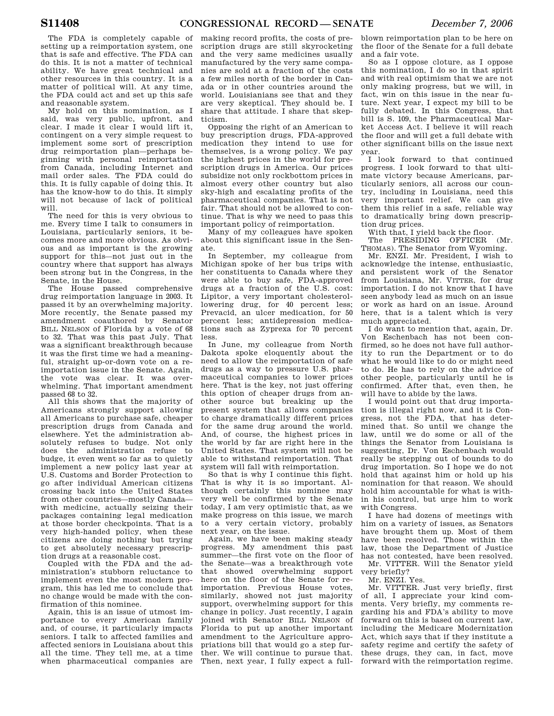The FDA is completely capable of setting up a reimportation system, one that is safe and effective. The FDA can do this. It is not a matter of technical ability. We have great technical and other resources in this country. It is a matter of political will. At any time, the FDA could act and set up this safe and reasonable system.

My hold on this nomination, as I said, was very public, upfront, and clear. I made it clear I would lift it, contingent on a very simple request to implement some sort of prescription drug reimportation plan—perhaps beginning with personal reimportation from Canada, including Internet and mail order sales. The FDA could do this. It is fully capable of doing this. It has the know-how to do this. It simply will not because of lack of political will.

The need for this is very obvious to me. Every time I talk to consumers in Louisiana, particularly seniors, it becomes more and more obvious. As obvious and as important is the growing support for this—not just out in the country where that support has always been strong but in the Congress, in the Senate, in the House.

The House passed comprehensive drug reimportation language in 2003. It passed it by an overwhelming majority. More recently, the Senate passed my amendment coauthored by Senator BILL NELSON of Florida by a vote of 68 to 32. That was this past July. That was a significant breakthrough because it was the first time we had a meaningful, straight up-or-down vote on a reimportation issue in the Senate. Again, the vote was clear. It was overwhelming. That important amendment passed 68 to 32.

All this shows that the majority of Americans strongly support allowing all Americans to purchase safe, cheaper prescription drugs from Canada and elsewhere. Yet the administration absolutely refuses to budge. Not only does the administration refuse to budge, it even went so far as to quietly implement a new policy last year at U.S. Customs and Border Protection to go after individual American citizens crossing back into the United States from other countries—mostly Canada with medicine, actually seizing their packages containing legal medication at those border checkpoints. That is a very high-handed policy, when these citizens are doing nothing but trying to get absolutely necessary prescription drugs at a reasonable cost.

Coupled with the FDA and the administration's stubborn reluctance to implement even the most modern program, this has led me to conclude that no change would be made with the confirmation of this nominee.

Again, this is an issue of utmost importance to every American family and, of course, it particularly impacts seniors. I talk to affected families and affected seniors in Louisiana about this all the time. They tell me, at a time when pharmaceutical companies are

making record profits, the costs of prescription drugs are still skyrocketing and the very same medicines usually manufactured by the very same companies are sold at a fraction of the costs a few miles north of the border in Canada or in other countries around the world. Louisianians see that and they are very skeptical. They should be. I share that attitude. I share that skepticism.

Opposing the right of an American to buy prescription drugs, FDA-approved medication they intend to use for themselves, is a wrong policy. We pay the highest prices in the world for prescription drugs in America. Our prices subsidize not only rockbottom prices in almost every other country but also sky-high and escalating profits of the pharmaceutical companies. That is not fair. That should not be allowed to continue. That is why we need to pass this important policy of reimportation.

Many of my colleagues have spoken about this significant issue in the Senate.

In September, my colleague from Michigan spoke of her bus trips with her constituents to Canada where they were able to buy safe, FDA-approved drugs at a fraction of the U.S. cost: Lipitor, a very important cholesterollowering drug, for 40 percent less; Prevacid, an ulcer medication, for 50 percent less; antidepression medications such as Zyprexa for 70 percent less.

In June, my colleague from North Dakota spoke eloquently about the need to allow the reimportation of safe drugs as a way to pressure U.S. pharmaceutical companies to lower prices here. That is the key, not just offering this option of cheaper drugs from another source but breaking up the present system that allows companies to charge dramatically different prices for the same drug around the world. And, of course, the highest prices in the world by far are right here in the United States. That system will not be able to withstand reimportation. That system will fall with reimportation.

So that is why I continue this fight. That is why it is so important. Although certainly this nominee may very well be confirmed by the Senate today, I am very optimistic that, as we make progress on this issue, we march to a very certain victory, probably next year, on the issue.

Again, we have been making steady progress. My amendment this past summer—the first vote on the floor of the Senate—was a breakthrough vote that showed overwhelming support here on the floor of the Senate for reimportation. Previous House votes, similarly, showed not just majority support, overwhelming support for this change in policy. Just recently, I again joined with Senator BILL NELSON of Florida to put up another important amendment to the Agriculture appropriations bill that would go a step further. We will continue to pursue that. Then, next year, I fully expect a full-

blown reimportation plan to be here on the floor of the Senate for a full debate and a fair vote.

So as I oppose cloture, as I oppose this nomination, I do so in that spirit and with real optimism that we are not only making progress, but we will, in fact, win on this issue in the near future. Next year, I expect my bill to be fully debated. In this Congress, that bill is S. 109, the Pharmaceutical Market Access Act. I believe it will reach the floor and will get a full debate with other significant bills on the issue next year.

I look forward to that continued progress. I look forward to that ultimate victory because Americans, particularly seniors, all across our country, including in Louisiana, need this very important relief. We can give them this relief in a safe, reliable way to dramatically bring down prescription drug prices.

With that, I yield back the floor.

The PRESIDING OFFICER (Mr. THOMAS). The Senator from Wyoming.

Mr. ENZI. Mr. President, I wish to acknowledge the intense, enthusiastic, and persistent work of the Senator from Louisiana, Mr. VITTER, for drug importation. I do not know that I have seen anybody lead as much on an issue or work as hard on an issue. Around here, that is a talent which is very much appreciated.

I do want to mention that, again, Dr. Von Eschenbach has not been confirmed, so he does not have full authority to run the Department or to do what he would like to do or might need to do. He has to rely on the advice of other people, particularly until he is confirmed. After that, even then, he will have to abide by the laws.

I would point out that drug importation is illegal right now, and it is Congress, not the FDA, that has determined that. So until we change the law, until we do some or all of the things the Senator from Louisiana is suggesting, Dr. Von Eschenbach would really be stepping out of bounds to do drug importation. So I hope we do not hold that against him or hold up his nomination for that reason. We should hold him accountable for what is within his control, but urge him to work with Congress.

I have had dozens of meetings with him on a variety of issues, as Senators have brought them up. Most of them have been resolved. Those within the law, those the Department of Justice has not contested, have been resolved.

Mr. VITTER. Will the Senator yield very briefly?

Mr. ENZI. Yes.

Mr. VITTER. Just very briefly, first of all, I appreciate your kind comments. Very briefly, my comments regarding his and FDA's ability to move forward on this is based on current law, including the Medicare Modernization Act, which says that if they institute a safety regime and certify the safety of these drugs, they can, in fact, move forward with the reimportation regime.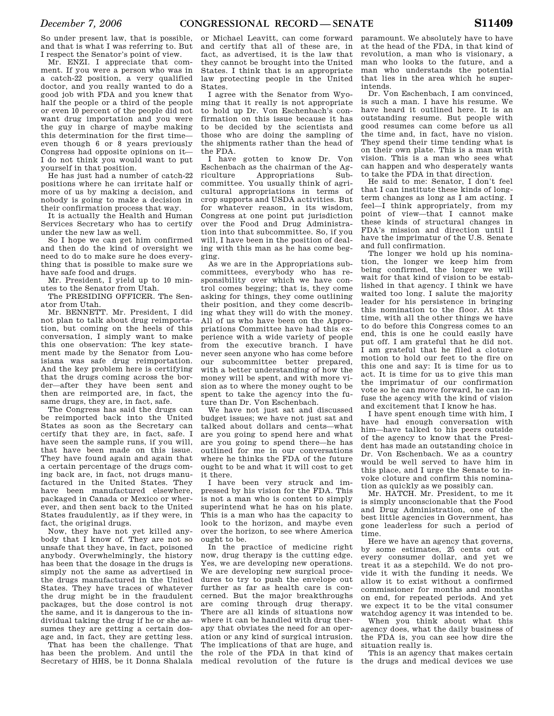So under present law, that is possible, and that is what I was referring to. But I respect the Senator's point of view.

Mr. ENZI. I appreciate that comment. If you were a person who was in a catch-22 position, a very qualified doctor, and you really wanted to do a good job with FDA and you knew that half the people or a third of the people or even 10 percent of the people did not want drug importation and you were the guy in charge of maybe making this determination for the first time even though 6 or 8 years previously Congress had opposite opinions on it— I do not think you would want to put yourself in that position.

He has just had a number of catch-22 positions where he can irritate half or more of us by making a decision, and nobody is going to make a decision in their confirmation process that way.

It is actually the Health and Human Services Secretary who has to certify under the new law as well.

So I hope we can get him confirmed and then do the kind of oversight we need to do to make sure he does everything that is possible to make sure we have safe food and drugs.

Mr. President, I yield up to 10 minutes to the Senator from Utah.

The PRESIDING OFFICER. The Senator from Utah.

Mr. BENNETT. Mr. President, I did not plan to talk about drug reimportation, but coming on the heels of this conversation, I simply want to make this one observation: The key statement made by the Senator from Louisiana was safe drug reimportation. And the key problem here is certifying that the drugs coming across the border—after they have been sent and then are reimported are, in fact, the same drugs, they are, in fact, safe.

The Congress has said the drugs can be reimported back into the United States as soon as the Secretary can certify that they are, in fact, safe. I have seen the sample runs, if you will, that have been made on this issue. They have found again and again that a certain percentage of the drugs coming back are, in fact, not drugs manufactured in the United States. They have been manufactured elsewhere, packaged in Canada or Mexico or wherever, and then sent back to the United States fraudulently, as if they were, in fact, the original drugs.

Now, they have not yet killed anybody that I know of. They are not so unsafe that they have, in fact, poisoned anybody. Overwhelmingly, the history has been that the dosage in the drugs is simply not the same as advertised in the drugs manufactured in the United States. They have traces of whatever the drug might be in the fraudulent packages, but the dose control is not the same, and it is dangerous to the individual taking the drug if he or she assumes they are getting a certain dosage and, in fact, they are getting less.

That has been the challenge. That has been the problem. And until the Secretary of HHS, be it Donna Shalala

or Michael Leavitt, can come forward and certify that all of these are, in fact, as advertised, it is the law that they cannot be brought into the United States. I think that is an appropriate law protecting people in the United States.

I agree with the Senator from Wyoming that it really is not appropriate to hold up Dr. Von Eschenbach's confirmation on this issue because it has to be decided by the scientists and those who are doing the sampling of the shipments rather than the head of the FDA.

I have gotten to know Dr. Von Eschenbach as the chairman of the Agriculture Appropriations Subcommittee. You usually think of agricultural appropriations in terms of crop supports and USDA activities. But for whatever reason, in its wisdom, Congress at one point put jurisdiction over the Food and Drug Administration into that subcommittee. So, if you will, I have been in the position of dealing with this man as he has come begging.

As we are in the Appropriations subcommittees, everybody who has responsibility over which we have control comes begging; that is, they come asking for things, they come outlining their position, and they come describing what they will do with the money. All of us who have been on the Appropriations Committee have had this experience with a wide variety of people from the executive branch. I have never seen anyone who has come before our subcommittee better prepared, with a better understanding of how the money will be spent, and with more vision as to where the money ought to be spent to take the agency into the future than Dr. Von Eschenbach.

We have not just sat and discussed budget issues; we have not just sat and talked about dollars and cents—what are you going to spend here and what are you going to spend there—he has outlined for me in our conversations where he thinks the FDA of the future ought to be and what it will cost to get it there.

I have been very struck and impressed by his vision for the FDA. This is not a man who is content to simply superintend what he has on his plate. This is a man who has the capacity to look to the horizon, and maybe even over the horizon, to see where America ought to be.

In the practice of medicine right now, drug therapy is the cutting edge. Yes, we are developing new operations. We are developing new surgical procedures to try to push the envelope out further as far as health care is concerned. But the major breakthroughs are coming through drug therapy. There are all kinds of situations now where it can be handled with drug therapy that obviates the need for an operation or any kind of surgical intrusion. The implications of that are huge, and the role of the FDA in that kind of medical revolution of the future is

paramount. We absolutely have to have at the head of the FDA, in that kind of revolution, a man who is visionary, a man who looks to the future, and a man who understands the potential that lies in the area which he superintends.

Dr. Von Eschenbach, I am convinced, is such a man. I have his resume. We have heard it outlined here. It is an outstanding resume. But people with good resumes can come before us all the time and, in fact, have no vision. They spend their time tending what is on their own plate. This is a man with vision. This is a man who sees what can happen and who desperately wants to take the FDA in that direction.

He said to me: Senator, I don't feel that I can institute these kinds of longterm changes as long as I am acting. I feel—I think appropriately, from my point of view—that I cannot make these kinds of structural changes in FDA's mission and direction until I have the imprimatur of the U.S. Senate and full confirmation.

The longer we hold up his nomination, the longer we keep him from being confirmed, the longer we will wait for that kind of vision to be established in that agency. I think we have waited too long. I salute the majority leader for his persistence in bringing this nomination to the floor. At this time, with all the other things we have to do before this Congress comes to an end, this is one he could easily have put off. I am grateful that he did not. I am grateful that he filed a cloture motion to hold our feet to the fire on this one and say: It is time for us to act. It is time for us to give this man the imprimatur of our confirmation vote so he can move forward, he can infuse the agency with the kind of vision and excitement that I know he has.

I have spent enough time with him, I have had enough conversation with him—have talked to his peers outside of the agency to know that the President has made an outstanding choice in Dr. Von Eschenbach. We as a country would be well served to have him in this place, and I urge the Senate to invoke cloture and confirm this nomination as quickly as we possibly can.

Mr. HATCH. Mr. President, to me it is simply unconscionable that the Food and Drug Administration, one of the best little agencies in Government, has gone leaderless for such a period of time.

Here we have an agency that governs, by some estimates, 25 cents out of every consumer dollar, and yet we treat it as a stepchild. We do not provide it with the funding it needs. We allow it to exist without a confirmed commissioner for months and months on end, for repeated periods. And yet we expect it to be the vital consumer watchdog agency it was intended to be.

When you think about what this agency does, what the daily business of the FDA is, you can see how dire the situation really is.

This is an agency that makes certain the drugs and medical devices we use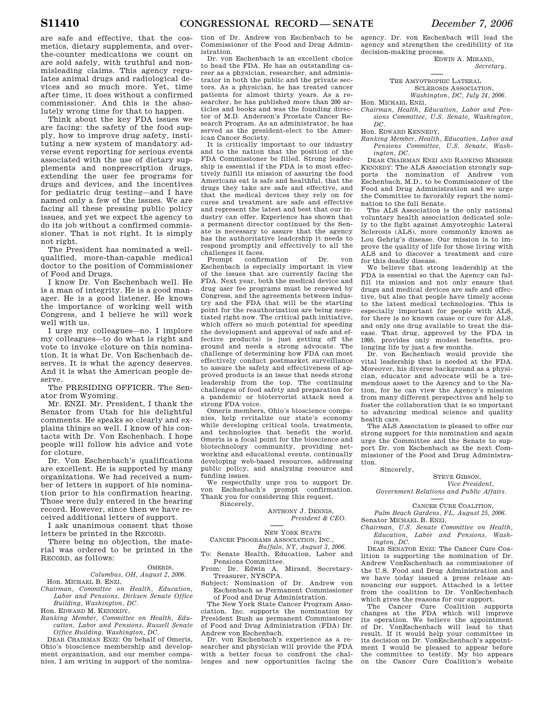are safe and effective, that the cosmetics, dietary supplements, and overthe-counter medications we count on are sold safely, with truthful and nonmisleading claims. This agency regulates animal drugs and radiological devices and so much more. Yet, time after time, it does without a confirmed commissioner. And this is the absolutely wrong time for that to happen.

Think about the key FDA issues we are facing: the safety of the food supply, how to improve drug safety, instituting a new system of mandatory adverse event reporting for serious events associated with the use of dietary supplements and nonprescription drugs, extending the user fee programs for drugs and devices, and the incentives for pediatric drug testing—and I have named only a few of the issues. We are facing all these pressing public policy issues, and yet we expect the agency to do its job without a confirmed commissioner. That is not right. It is simply not right.

The President has nominated a wellqualified, more-than-capable medical doctor to the position of Commissioner of Food and Drugs.

I know Dr. Von Eschenbach well. He is a man of integrity. He is a good manager. He is a good listener. He knows the importance of working well with Congress, and I believe he will work well with us.

I urge my colleagues—no, I implore my colleagues—to do what is right and vote to invoke cloture on this nomination. It is what Dr. Von Eschenbach deserves. It is what the agency deserves. And it is what the American people deserve.

The PRESIDING OFFICER. The Senator from Wyoming.

Mr. ENZI. Mr. President, I thank the Senator from Utah for his delightful comments. He speaks so clearly and explains things so well. I know of his contacts with Dr. Von Eschenbach. I hope people will follow his advice and vote for cloture.

Dr. Von Eschenbach's qualifications are excellent. He is supported by many organizations. We had received a number of letters in support of his nomination prior to his confirmation hearing. Those were duly entered in the hearing record. However, since then we have received additional letters of support.

I ask unanimous consent that those letters be printed in the RECORD.

There being no objection, the material was ordered to be printed in the RECORD, as follows:

## OMERIS,

*Columbus, OH, August 2, 2006.*  Hon. MICHAEL B. ENZI, *Chairman, Committee on Health, Education,* 

*Labor and Pensions, Dirksen Senate Office Building, Washington, DC.* 

Hon. EDWARD M. KENNEDY,

*Ranking Member, Committee on Health, Education, Labor and Pensions, Russell Senate Office Building, Washington, DC.* 

DEAR CHAIRMAN ENZI: On behalf of Omeris, Ohio's bioscience membership and development organization, and our member companies, I am writing in support of the nomination of Dr. Andrew von Eschenbach to be Commissioner of the Food and Drug Administration.

Dr. von Eschenbach is an excellent choice to head the FDA. He has an outstanding career as a physician, researcher, and administrator in both the public and the private sectors. As a physician, he has treated cancer patients for almost thirty years. As a researcher, he has published more than 200 articles and books and was the founding director of M.D. Anderson's Prostate Cancer Research Program. As an administrator, he has served as the president-elect to the American Cancer Society.

It is critically important to our industry and to the nation that the position of the FDA Commissioner be filled. Strong leadership is essential if the FDA is to most effectively fulfill its mission of assuring the food Americans eat is safe and healthful, that the drugs they take are safe and effective, and that the medical devices they rely on for cures and treatment are safe and effective and represent the latest and best that our industry can offer. Experience has shown that a permanent director continued by the Senate is necessary to assure that the agency has the authoritative leadcrship it needs to respond promptly and effectively to all the challenges it faces.

confirmation of Dr. von Eschenbach is especially important in view of the issues that are currently facing the FDA. Next year, both the medical device and drug user fee programs must be renewed by Congress, and the agreements between industry and the FDA that will be the starting point for the reauthorization are being negotiated right now. The critical path initiative, which offers so much potential for speeding the development and approval of safe and effective products) is just getting off the ground and needs a strong advocate. The challenge of determining how FDA can most effectively conduct postmarket surveillance to assure the safety and effectiveness of approved products is an issue that needs strong leadership from the top. The continuing challenges of food safety and preparation for a pandemic or bioterrorist attack need a strong FDA voice.

Omeris members, Ohio's bioscience companies, help revitalize our state's economy while developing critical tools, treatments, and technologies that benefit the world. Omeris is a focal point for the bioscience and biotechnology community, providing networking and educational events, continually developing web-based resources, addressing public policy, and analyzing resource and funding issues.

We respectfully urge you to support Dr. von Eschenbach's prompt confirmation. Thank you for considering this request.

Sincerely,

ANTHONY J. DENNIS, *President & CEO.* 

NEW YORK STATE CANCER PROGRAMS ASSOCIATION, INC.,

*Buffalo, NY, August 3, 2006.* 

To: Senate Health, Education, Labor and Pensions Committee.

From: Dr. Edwin A. Mirand, Secretary-Treasurer, NYSCPA.

Subject: Nomination of Dr. Andrew von Eschenbach as Permanent Commissioner of Food and Drug Administration.

The New York State Cancer Program Association, Inc. supports the nomination by President Bush as permanent Commissioner of Food and Drug Administration (FDA) Dr. Andrew von Eschenbach.

Dr. von Eschenbach's experience as a researcher and physician will provide the FDA with a better focus to confront the challenges and new opportunities facing the agency. Dr. von Eschenbach will lead the agency and strengthen the credibility of its decision-making process.

EDWIN A. MIRAND, *Secretary.* 

THE AMYOTROPHIC LATERAL SCLEROSIS ASSOCIATION, *Washington, DC, July 24, 2006.* 

Hon. MICHAEL ENZI, *Chairman, Health, Education, Labor and Pen-*

*sions Committee, U.S. Senate, Washington, DC.* 

Hon. EDWARD KENNEDY,

*Ranking Member, Health, Education, Labor and Pensions Committee, U.S. Senate, Washington, DC.* 

DEAR CHAIRMAN ENZI AND RANKING MEMBER KENNEDY: The ALS Association strongly supports the nomination of Andrew von Eschenbach, M.D., to be Commissioner of the Food and Drug Administration and we urge the Committee to favorably report the nomination to the full Senate.

The ALS Association is the only national voluntary health association dedicated solely to the fight against Amyotrophic Lateral Sclerosis (ALS), more commonly known as Lou Gehrig's disease. Our mission is to improve the quality of life for those living with ALS and to discover a treatment and cure for this deadly disease.

We believe that strong leadership at the FDA is essential so that the Agency can fulfill its mission and not only ensure that drugs and medical devices are safe and effective, but also that people have timely access to the latest medical technologies. This is especially important for people with ALS, for there is no known cause or cure for ALS, and only one drug available to treat the disease. That drug, approved by the FDA in 1995, provides only modest benefits, prolonging life by just a few months.

Dr. von Eschenbach would provide the vital leadership that is needed at the FDA. Moreover, his diverse background as a physician, educator and advocate will be a tremendous asset to the Agency and to the Nation, for he can view the Agency's mission from many different perspectives and help to foster the collaboration that is so important to advancing medical science and quality health care.

The ALS Association is pleased to offer our strong support for this nomination and again urge the Committee and the Senate to support Dr. von Eschenbach as the next Commissioner of the Food and Drug Administration.

Sincerely,

STEVE GIBSON, *Vice President*,

*Government Relations and Public Affairs.* 

CANCER CURE COALITION, *Palm Beach Gardens, FL, August 25, 2006.*  Senator MICHAEL B. ENZI,

*Chairman, U.S. Senate Committee on Health, Education, Labor and Pensions, Washington, DC.* 

DEAR SENATOR ENZI: The Cancer Cure Coalition is supporting the nomination of Dr. Andrew VonEschenbach as commissioner of the U.S. Food and Drug Administration and we have today issued a press release announcing our support. Attached is a letter from the coalition to Dr. VonEschenbach which gives the reasons for our support.<br>The Cancer Cure Coalition supports

The Cancer Cure Coalition changes at the FDA which will improve its operation. We believe the appointment of Dr. VonEschenbach will lead to that result. If it would help your committee in its decision on Dr. VonEschenbach's appointment I would be pleased to appear before the committee to testify. My bio appears on the Cancer Cure Coalition's website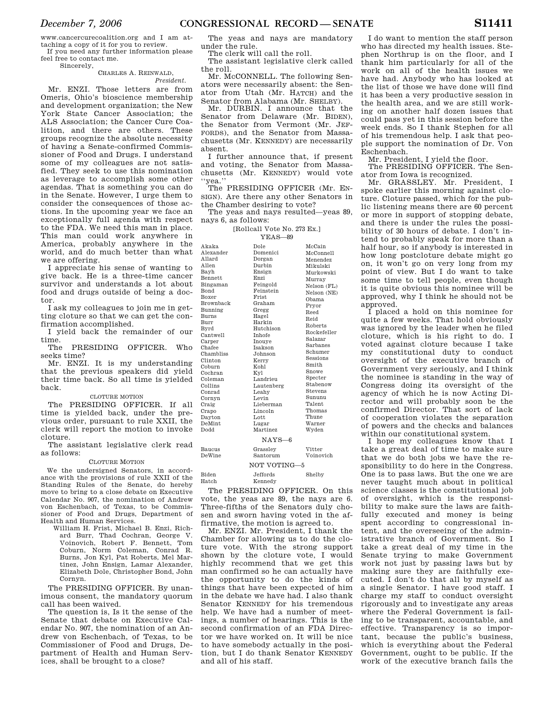*December 7, 2006* **CONGRESSIONAL RECORD— SENATE S11411** 

www.cancercurecoalition.org and I am attaching a copy of it for you to review.

If you need any further information please feel free to contact me.

#### Sincerely,

#### CHARLES A. REINWALD, *President.*

Mr. ENZI. Those letters are from Omeris, Ohio's bioscience membership and development organization; the New York State Cancer Association; the ALS Association; the Cancer Cure Coalition, and there are others. These groups recognize the absolute necessity of having a Senate-confirmed Commissioner of Food and Drugs. I understand some of my colleagues are not satisfied. They seek to use this nomination as leverage to accomplish some other agendas. That is something you can do in the Senate. However, I urge them to consider the consequences of those actions. In the upcoming year we face an exceptionally full agenda with respect to the FDA. We need this man in place. This man could work anywhere in America, probably anywhere in the world, and do much better than what we are offering.

I appreciate his sense of wanting to give back. He is a three-time cancer survivor and understands a lot about food and drugs outside of being a doctor.

I ask my colleagues to join me in getting cloture so that we can get the confirmation accomplished.

I yield back the remainder of our time.

The PRESIDING OFFICER. Who seeks time?

Mr. ENZI. It is my understanding that the previous speakers did yield their time back. So all time is yielded back.

### CLOTURE MOTION

The PRESIDING OFFICER. If all time is yielded back, under the previous order, pursuant to rule XXII, the clerk will report the motion to invoke cloture. Cr: De

The assistant legislative clerk read as follows:  $\mathbf{D}\boldsymbol{\epsilon}$ 

#### CLOTURE MOTION

We the undersigned Senators, in accordance with the provisions of rule XXII of the Standing Rules of the Senate, do hereby move to bring to a close debate on Executive Calendar No. 907, the nomination of Andrew von Eschenbach, of Texas, to be Commissioner of Food and Drugs, Department of Health and Human Services.

William H. Frist, Michael B. Enzi, Richard Burr, Thad Cochran, George V. Voinovich, Robert F. Bennett, Tom Coburn, Norm Coleman, Conrad R. Burns, Jon Kyl, Pat Roberts, Mel Martinez, John Ensign, Lamar Alexander, Elizabeth Dole, Christopher Bond, John Cornyn.

The PRESIDING OFFICER. By unanimous consent, the mandatory quorum call has been waived.

The question is, Is it the sense of the Senate that debate on Executive Calendar No. 907, the nomination of an Andrew von Eschenbach, of Texas, to be Commissioner of Food and Drugs, Department of Health and Human Services, shall be brought to a close?

The yeas and nays are mandatory under the rule.

The clerk will call the roll.

The assistant legislative clerk called the roll.

Mr. McCONNELL. The following Senators were necessarily absent: the Senator from Utah (Mr. HATCH) and the Senator from Alabama (Mr. SHELBY).

Mr. DURBIN. I announce that the Senator from Delaware (Mr. BIDEN), the Senator from Vermont (Mr. JEF-FORDS), and the Senator from Massachusetts (Mr. KENNEDY) are necessarily absent.

I further announce that, if present and voting, the Senator from Massachusetts (Mr. KENNEDY) would vote ''yea.''

The PRESIDING OFFICER (Mr. EN-SIGN). Are there any other Senators in the Chamber desiring to vote?

The yeas and nays resulted—yeas 89, nays 6, as follows:

# [Rollcall Vote No. 273 Ex.]

| $YEAS - 89$                     |                |             |
|---------------------------------|----------------|-------------|
| Akaka                           | Dole           | McCain      |
| Alexander                       | Domenici       | McConnell   |
| Allard                          | Dorgan         | Menendez    |
| Allen                           | Durbin         | Mikulski    |
| Bayh                            | Ensign         | Murkowski   |
| Bennett                         | Enzi           | Murray      |
| Bingaman                        | Feingold       | Nelson (FL) |
| Bond                            | Feinstein      | Nelson (NE) |
| Boxer                           | Frist          | Obama       |
| Brownback                       | Graham         | Pryor       |
| Bunning                         | Gregg          | Reed        |
| Burns                           | Hagel          | Reid        |
| Burr                            | Harkin         | Roberts     |
| Byrd                            | Hutchison      | Rockefeller |
| Cantwell                        | <b>Inhofe</b>  | Salazar     |
| Carper                          | Inouve         | Sarbanes    |
| Chafee                          | <b>Isakson</b> |             |
| Chambliss                       | Johnson        | Schumer     |
| Clinton                         | Kerry          | Sessions    |
| Coburn                          | Kohl           | Smith       |
| Cochran                         | Kvl            | Snowe       |
| Coleman                         | Landrieu       | Specter     |
| Collins                         | Lautenberg     | Stabenow    |
| Conrad                          | Leahy          | Stevens     |
| Cornyn                          | Levin          | Sununu      |
| Craig                           | Lieberman      | Talent      |
| Crapo                           | Lincoln        | Thomas      |
| Davton                          | Lott           | Thune       |
| DeMint                          | Lugar          | Warner      |
| <b>Dodd</b>                     | Martinez       | Wyden       |
| $NAYS-6$                        |                |             |
| <b>Baucus</b>                   | Grasslev       | Vitter      |
| DeWine                          | Santorum       | Voinovich   |
| NOT VOTING-5                    |                |             |
|                                 |                |             |
| <b>Biden</b>                    | Jeffords.      | Shelby      |
| Hatch                           | Kennedy        |             |
| DRECIDING ORBIGED On the<br>rm. |                |             |

The PRESIDING OFFICER. On this vote, the yeas are 89, the nays are 6. Three-fifths of the Senators duly chosen and sworn having voted in the affirmative, the motion is agreed to.

Mr. ENZI. Mr. President, I thank the Chamber for allowing us to do the cloture vote. With the strong support shown by the cloture vote, I would highly recommend that we get this man confirmed so he can actually have the opportunity to do the kinds of things that have been expected of him in the debate we have had. I also thank Senator KENNEDY for his tremendous help. We have had a number of meetings, a number of hearings. This is the second confirmation of an FDA Director we have worked on. It will be nice to have somebody actually in the position, but I do thank Senator KENNEDY and all of his staff.

I do want to mention the staff person who has directed my health issues. Stephen Northrup is on the floor, and I thank him particularly for all of the work on all of the health issues we have had. Anybody who has looked at the list of those we have done will find it has been a very productive session in the health area, and we are still working on another half dozen issues that could pass yet in this session before the week ends. So I thank Stephen for all of his tremendous help. I ask that people support the nomination of Dr. Von Eschenbach.

Mr. President, I yield the floor.

The PRESIDING OFFICER. The Senator from Iowa is recognized.

Mr. GRASSLEY. Mr. President, I spoke earlier this morning against cloture. Cloture passed, which for the public listening means there are 60 percent or more in support of stopping debate, and there is under the rules the possibility of 30 hours of debate. I don't intend to probably speak for more than a half hour, so if anybody is interested in how long postcloture debate might go on, it won't go on very long from my point of view. But I do want to take some time to tell people, even though it is quite obvious this nominee will be approved, why I think he should not be approved.

I placed a hold on this nominee for quite a few weeks. That hold obviously was ignored by the leader when he filed cloture, which is his right to do. I voted against cloture because I take my constitutional duty to conduct oversight of the executive branch of Government very seriously, and I think the nominee is standing in the way of Congress doing its oversight of the agency of which he is now Acting Director and will probably soon be the confirmed Director. That sort of lack of cooperation violates the separation of powers and the checks and balances within our constitutional system.

I hope my colleagues know that I take a great deal of time to make sure that we do both jobs we have the responsibility to do here in the Congress. One is to pass laws. But the one we are never taught much about in political science classes is the constitutional job of oversight, which is the responsibility to make sure the laws are faithfully executed and money is being spent according to congressional intent, and the overseeing of the administrative branch of Government. So I take a great deal of my time in the Senate trying to make Government work not just by passing laws but by making sure they are faithfully executed. I don't do that all by myself as a single Senator. I have good staff. I charge my staff to conduct oversight rigorously and to investigate any areas where the Federal Government is failing to be transparent, accountable, and effective. Transparency is so important, because the public's business, which is everything about the Federal Government, ought to be public. If the work of the executive branch fails the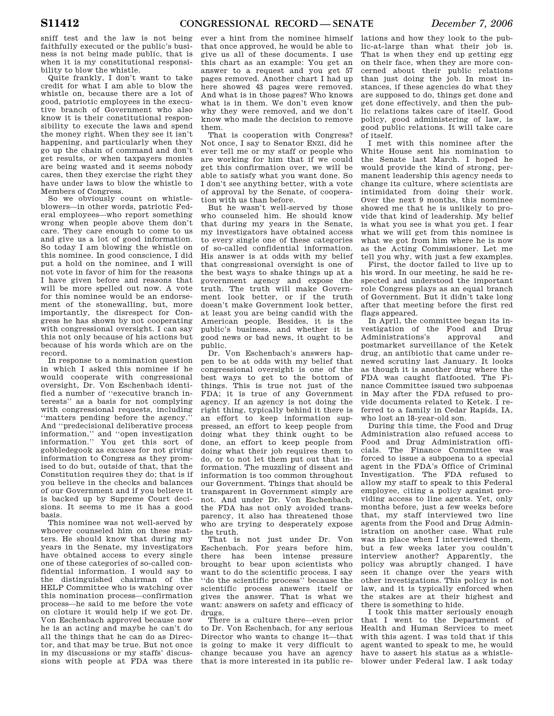sniff test and the law is not being faithfully executed or the public's business is not being made public, that is when it is my constitutional responsibility to blow the whistle.

Quite frankly, I don't want to take credit for what I am able to blow the whistle on, because there are a lot of good, patriotic employees in the executive branch of Government who also know it is their constitutional responsibility to execute the laws and spend the money right. When they see it isn't happening, and particularly when they go up the chain of command and don't get results, or when taxpayers monies are being wasted and it seems nobody cares, then they exercise the right they have under laws to blow the whistle to Members of Congress.

So we obviously count on whistleblowers—in other words, patriotic Federal employees—who report something wrong when people above them don't care. They care enough to come to us and give us a lot of good information. So today I am blowing the whistle on this nominee. In good conscience, I did put a hold on the nominee, and I will not vote in favor of him for the reasons I have given before and reasons that will be more spelled out now. A vote for this nominee would be an endorsement of the stonewalling, but, more importantly, the disrespect for Congress he has shown by not cooperating with congressional oversight. I can say this not only because of his actions but because of his words which are on the record.

In response to a nomination question in which I asked this nominee if he would cooperate with congressional oversight, Dr. Von Eschenbach identified a number of ''executive branch interests'' as a basis for not complying with congressional requests, including ''matters pending before the agency.'' And ''predecisional deliberative process information,'' and ''open investigation information.'' You get this sort of gobbledegook as excuses for not giving information to Congress as they promised to do but, outside of that, that the Constitution requires they do; that is if you believe in the checks and balances of our Government and if you believe it is backed up by Supreme Court decisions. It seems to me it has a good basis.

This nominee was not well-served by whoever counseled him on these matters. He should know that during my years in the Senate, my investigators have obtained access to every single one of these categories of so-called confidential information. I would say to the distinguished chairman of the HELP Committee who is watching over this nomination process—confirmation process—he said to me before the vote on cloture it would help if we got Dr. Von Eschenbach approved because now he is an acting and maybe he can't do all the things that he can do as Director, and that may be true. But not once in my discussions or my staffs' discussions with people at FDA was there

ever a hint from the nominee himself that once approved, he would be able to give us all of these documents. I use this chart as an example: You get an answer to a request and you get 57 pages removed. Another chart I had up here showed 43 pages were removed. And what is in those pages? Who knows what is in them. We don't even know why they were removed, and we don't know who made the decision to remove them.

That is cooperation with Congress? Not once, I say to Senator ENZI, did he ever tell me or my staff or people who are working for him that if we could get this confirmation over, we will be able to satisfy what you want done. So I don't see anything better, with a vote of approval by the Senate, of cooperation with us than before.

But he wasn't well-served by those who counseled him. He should know that during my years in the Senate, my investigators have obtained access to every single one of these categories of so-called confidential information. His answer is at odds with my belief that congressional oversight is one of the best ways to shake things up at a government agency and expose the truth. The truth will make Government look better, or if the truth doesn't make Government look better, at least you are being candid with the American people. Besides, it is the public's business, and whether it is good news or bad news, it ought to be public.

Dr. Von Eschenbach's answers happen to be at odds with my belief that congressional oversight is one of the best ways to get to the bottom of things. This is true not just of the FDA; it is true of any Government agency. If an agency is not doing the right thing, typically behind it there is an effort to keep information suppressed, an effort to keep people from doing what they think ought to be done, an effort to keep people from doing what their job requires them to do, or to not let them put out that information. The muzzling of dissent and information is too common throughout our Government. Things that should be transparent in Government simply are not. And under Dr. Von Eschenbach, the FDA has not only avoided transparency, it also has threatened those who are trying to desperately expose the truth.

That is not just under Dr. Von Eschenbach. For years before him, there has been intense pressure brought to bear upon scientists who want to do the scientific process. I say ''do the scientific process'' because the scientific process answers itself or gives the answer. That is what we want: answers on safety and efficacy of drugs.

There is a culture there—even prior to Dr. Von Eschenbach, for any serious Director who wants to change it—that is going to make it very difficult to change because you have an agency that is more interested in its public re-

lations and how they look to the public-at-large than what their job is. That is when they end up getting egg on their face, when they are more concerned about their public relations than just doing the job. In most instances, if these agencies do what they are supposed to do, things get done and get done effectively, and then the public relations takes care of itself. Good policy, good administering of law, is good public relations. It will take care of itself.

I met with this nominee after the White House sent his nomination to the Senate last March. I hoped he would provide the kind of strong, permanent leadership this agency needs to change its culture, where scientists are intimidated from doing their work. Over the next 9 months, this nominee showed me that he is unlikely to provide that kind of leadership. My belief is what you see is what you get. I fear what we will get from this nominee is what we got from him where he is now as the Acting Commissioner. Let me tell you why, with just a few examples.

First, the doctor failed to live up to his word. In our meeting, he said he respected and understood the important role Congress plays as an equal branch of Government. But it didn't take long after that meeting before the first red flags appeared.

In April, the committee began its investigation of the Food and Drug Administrations's approval and postmarket surveillance of the Ketek drug, an antibiotic that came under renewed scrutiny last January. It looks as though it is another drug where the FDA was caught flatfooted. The Finance Committee issued two subpoenas in May after the FDA refused to provide documents related to Ketek. I referred to a family in Cedar Rapids, IA, who lost an 18-year-old son.

During this time, the Food and Drug Administration also refused access to Food and Drug Administration officials. The Finance Committee was forced to issue a subpoena to a special agent in the FDA's Office of Criminal Investigation. The FDA refused to allow my staff to speak to this Federal employee, citing a policy against providing access to line agents. Yet, only months before, just a few weeks before that, my staff interviewed two line agents from the Food and Drug Administration on another case. What rule was in place when I interviewed them, but a few weeks later you couldn't interview another? Apparently, the policy was abruptly changed. I have seen it change over the years with other investigations. This policy is not law, and it is typically enforced when the stakes are at their highest and there is something to hide.

I took this matter seriously enough that I went to the Department of Health and Human Services to meet with this agent. I was told that if this agent wanted to speak to me, he would have to assert his status as a whistleblower under Federal law. I ask today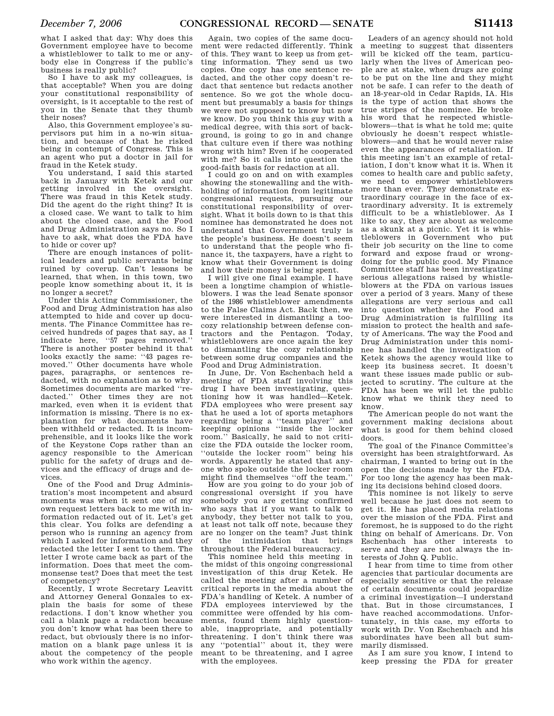what I asked that day: Why does this Government employee have to become a whistleblower to talk to me or anybody else in Congress if the public's business is really public?

So I have to ask my colleagues, is that acceptable? When you are doing your constitutional responsibility of oversight, is it acceptable to the rest of you in the Senate that they thumb their noses?

Also, this Government employee's supervisors put him in a no-win situation, and because of that he risked being in contempt of Congress. This is an agent who put a doctor in jail for fraud in the Ketek study.

You understand, I said this started back in January with Ketek and our getting involved in the oversight. There was fraud in this Ketek study. Did the agent do the right thing? It is a closed case. We want to talk to him about the closed case, and the Food and Drug Administration says no. So I have to ask, what does the FDA have to hide or cover up?

There are enough instances of political leaders and public servants being ruined by coverup. Can't lessons be learned, that when, in this town, two people know something about it, it is no longer a secret?

Under this Acting Commissioner, the Food and Drug Administration has also attempted to hide and cover up documents. The Finance Committee has received hundreds of pages that say, as I indicate here, ''57 pages removed.'' There is another poster behind it that looks exactly the same: ''43 pages removed.'' Other documents have whole pages, paragraphs, or sentences redacted, with no explanation as to why. Sometimes documents are marked ''redacted.'' Other times they are not marked, even when it is evident that information is missing. There is no explanation for what documents have been withheld or redacted. It is incomprehensible, and it looks like the work of the Keystone Cops rather than an agency responsible to the American public for the safety of drugs and devices and the efficacy of drugs and devices.

One of the Food and Drug Administration's most incompetent and absurd moments was when it sent one of my own request letters back to me with information redacted out of it. Let's get this clear. You folks are defending a person who is running an agency from which I asked for information and they redacted the letter I sent to them. The letter I wrote came back as part of the information. Does that meet the commonsense test? Does that meet the test of competency?

Recently, I wrote Secretary Leavitt and Attorney General Gonzales to explain the basis for some of these redactions. I don't know whether you call a blank page a redaction because you don't know what has been there to redact, but obviously there is no information on a blank page unless it is about the competency of the people who work within the agency.

Again, two copies of the same document were redacted differently. Think of this. They want to keep us from getting information. They send us two copies. One copy has one sentence redacted, and the other copy doesn't redact that sentence but redacts another sentence. So we got the whole document but presumably a basis for things we were not supposed to know but now we know. Do you think this guy with a medical degree, with this sort of background, is going to go in and change that culture even if there was nothing wrong with him? Even if he cooperated with me? So it calls into question the good-faith basis for redaction at all.

I could go on and on with examples showing the stonewalling and the withholding of information from legitimate congressional requests, pursuing our constitutional responsibility of oversight. What it boils down to is that this nominee has demonstrated he does not understand that Government truly is the people's business. He doesn't seem to understand that the people who finance it, the taxpayers, have a right to know what their Government is doing and how their money is being spent.

I will give one final example. I have been a longtime champion of whistleblowers. I was the lead Senate sponsor of the 1986 whistleblower amendments to the False Claims Act. Back then, we were interested in dismantling a toocozy relationship between defense contractors and the Pentagon. Today, whistleblowers are once again the key to dismantling the cozy relationship between some drug companies and the Food and Drug Administration.

In June, Dr. Von Eschenbach held a meeting of FDA staff involving this drug I have been investigating, questioning how it was handled—Ketek. FDA employees who were present say that he used a lot of sports metaphors regarding being a ''team player'' and keeping opinions ''inside the locker room.'' Basically, he said to not criticize the FDA outside the locker room, ''outside the locker room'' being his words. Apparently he stated that anyone who spoke outside the locker room might find themselves ''off the team.''

How are you going to do your job of congressional oversight if you have somebody you are getting confirmed who says that if you want to talk to anybody, they better not talk to you, at least not talk off note, because they are no longer on the team? Just think of the intimidation that brings throughout the Federal bureaucracy.

This nominee held this meeting in the midst of this ongoing congressional investigation of this drug Ketek. He called the meeting after a number of critical reports in the media about the FDA's handling of Ketek. A number of FDA employees interviewed by the committee were offended by his comments, found them highly questionable, inappropriate, and potentially threatening. I don't think there was any ''potential'' about it, they were meant to be threatening, and I agree with the employees.

Leaders of an agency should not hold a meeting to suggest that dissenters will be kicked off the team, particularly when the lives of American people are at stake, when drugs are going to be put on the line and they might not be safe. I can refer to the death of an 18-year-old in Cedar Rapids, IA. His is the type of action that shows the true stripes of the nominee. He broke his word that he respected whistleblowers—that is what he told me; quite obviously he doesn't respect whistleblowers—and that he would never raise even the appearances of retaliation. If this meeting isn't an example of retaliation, I don't know what it is. When it comes to health care and public safety, we need to empower whistleblowers more than ever. They demonstrate extraordinary courage in the face of extraordinary adversity. It is extremely difficult to be a whistleblower. As I like to say, they are about as welcome as a skunk at a picnic. Yet it is whistleblowers in Government who put their job security on the line to come forward and expose fraud or wrongdoing for the public good. My Finance Committee staff has been investigating serious allegations raised by whistleblowers at the FDA on various issues over a period of 3 years. Many of these allegations are very serious and call into question whether the Food and Drug Administration is fulfilling its mission to protect the health and safety of Americans. The way the Food and Drug Administration under this nominee has handled the investigation of Ketek shows the agency would like to keep its business secret. It doesn't want these issues made public or subjected to scrutiny. The culture at the FDA has been we will let the public know what we think they need to know.

The American people do not want the government making decisions about what is good for them behind closed doors.

The goal of the Finance Committee's oversight has been straightforward. As chairman, I wanted to bring out in the open the decisions made by the FDA. For too long the agency has been making its decisions behind closed doors.

This nominee is not likely to serve well because he just does not seem to get it. He has placed media relations over the mission of the FDA. First and foremost, he is supposed to do the right thing on behalf of Americans. Dr. Von Eschenbach has other interests to serve and they are not always the interests of John Q. Public.

I hear from time to time from other agencies that particular documents are especially sensitive or that the release of certain documents could jeopardize a criminal investigation—I understand that. But in those circumstances, I have reached accommodations. Unfortunately, in this case, my efforts to work with Dr. Von Eschenbach and his subordinates have been all but summarily dismissed.

As I am sure you know, I intend to keep pressing the FDA for greater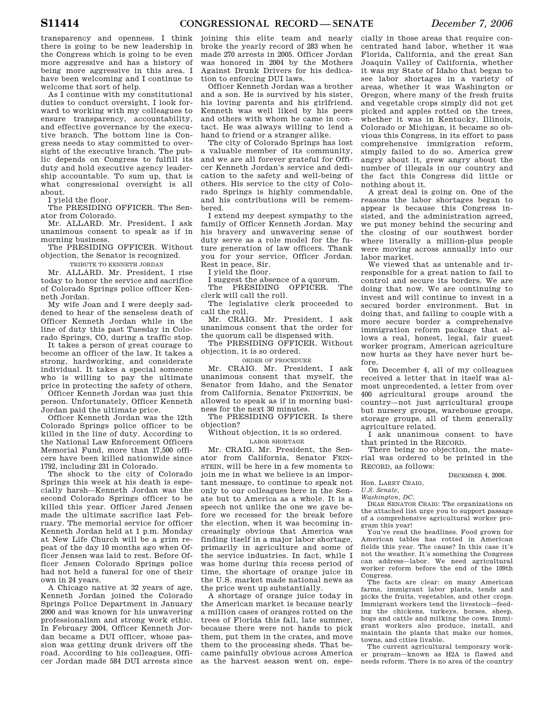transparency and openness. I think there is going to be new leadership in the Congress which is going to be even more aggressive and has a history of being more aggressive in this area. I have been welcoming and I continue to welcome that sort of help.

As I continue with my constitutional duties to conduct oversight, I look forward to working with my colleagues to ensure transparency, accountability, and effective governance by the executive branch. The bottom line is Congress needs to stay committed to oversight of the executive branch. The public depends on Congress to fulfill its duty and hold executive agency leadership accountable. To sum up, that is what congressional oversight is all about.

I yield the floor.

The PRESIDING OFFICER. The Senator from Colorado.

Mr. ALLARD. Mr. President, I ask unanimous consent to speak as if in morning business

The PRESIDING OFFICER. Without objection, the Senator is recognized.

TRIBUTE TO KENNETH JORDAN

Mr. ALLARD. Mr. President, I rise today to honor the service and sacrifice of Colorado Springs police officer Kenneth Jordan.

My wife Joan and I were deeply saddened to hear of the senseless death of Officer Kenneth Jordan while in the line of duty this past Tuesday in Colorado Springs, CO, during a traffic stop.

It takes a person of great courage to become an officer of the law. It takes a strong, hardworking, and considerate individual. It takes a special someone who is willing to pay the ultimate price in protecting the safety of others.

Officer Kenneth Jordan was just this person. Unfortunately, Officer Kenneth Jordan paid the ultimate price.

Officer Kenneth Jordan was the 12th Colorado Springs police officer to be killed in the line of duty. According to the National Law Enforcement Officers Memorial Fund, more than 17,500 officers have been killed nationwide since 1792, including 231 in Colorado.

The shock to the city of Colorado Springs this week at his death is especially harsh—Kenneth Jordan was the second Colorado Springs officer to be killed this year. Officer Jared Jensen made the ultimate sacrifice last February. The memorial service for officer Kenneth Jordan held at 1 p.m. Monday at New Life Church will be a grim repeat of the day 10 months ago when Officer Jensen was laid to rest. Before Officer Jensen Colorado Springs police had not held a funeral for one of their own in 24 years.

A Chicago native at 32 years of age, Kenneth Jordan joined the Colorado Springs Police Department in January 2000 and was known for his unwavering professionalism and strong work ethic. In February 2004, Officer Kenneth Jordan became a DUI officer, whose passion was getting drunk drivers off the road. According to his colleagues, Officer Jordan made 584 DUI arrests since joining this elite team and nearly broke the yearly record of 283 when he made 270 arrests in 2005. Officer Jordan was honored in 2004 by the Mothers Against Drunk Drivers for his dedication to enforcing DUI laws.

Officer Kenneth Jordan was a brother and a son. He is survived by his sister, his loving parents and his girlfriend. Kenneth was well liked by his peers and others with whom he came in contact. He was always willing to lend a hand to friend or a stranger alike.

The city of Colorado Springs has lost a valuable member of its community, and we are all forever grateful for Officer Kenneth Jordan's service and dedication to the safety and well-being of others. His service to the city of Colorado Springs is highly commendable, and his contributions will be remembered.

I extend my deepest sympathy to the family of Officer Kenneth Jordan. May his bravery and unwavering sense of duty serve as a role model for the future generation of law officers. Thank you for your service, Officer Jordan. Rest in peace, Sir.

I yield the floor.

I suggest the absence of a quorum.<br>The PRESIDING OFFICER. The The PRESIDING OFFICER. clerk will call the roll.

The legislative clerk proceeded to call the roll.

Mr. CRAIG. Mr. President, I ask unanimous consent that the order for

the quorum call be dispensed with. The PRESIDING OFFICER. Without

objection, it is so ordered.

ORDER OF PROCEDURE Mr. CRAIG. Mr. President, I ask unanimous consent that myself, the Senator from Idaho, and the Senator from California, Senator FEINSTEIN, be allowed to speak as if in morning business for the next 30 minutes.

The PRESIDING OFFICER. Is there objection?

Without objection, it is so ordered.

LABOR SHORTAGE

Mr. CRAIG. Mr. President, the Senator from California, Senator FEIN-STEIN, will be here in a few moments to join me in what we believe is an important message, to continue to speak not only to our colleagues here in the Senate but to America as a whole. It is a speech not unlike the one we gave before we recessed for the break before the election, when it was becoming increasingly obvious that America was finding itself in a major labor shortage, primarily in agriculture and some of the service industries. In fact, while I was home during this recess period of time, the shortage of orange juice in the U.S. market made national news as the price went up substantially.

A shortage of orange juice today in the American market is because nearly a million cases of oranges rotted on the trees of Florida this fall, late summer, because there were not hands to pick them, put them in the crates, and move them to the processing sheds. That became painfully obvious across America as the harvest season went on, espe-

cially in those areas that require concentrated hand labor, whether it was Florida, California, and the great San Joaquin Valley of California, whether it was my State of Idaho that began to see labor shortages in a variety of areas, whether it was Washington or Oregon, where many of the fresh fruits and vegetable crops simply did not get picked and apples rotted on the trees, whether it was in Kentucky, Illinois, Colorado or Michigan, it became so obvious this Congress, in its effort to pass comprehensive immigration reform, simply failed to do so. America grew angry about it, grew angry about the number of illegals in our country and the fact this Congress did little or nothing about it.

A great deal is going on. One of the reasons the labor shortages began to appear is because this Congress insisted, and the administration agreed, we put money behind the securing and the closing of our southwest border where literally a million-plus people were moving across annually into our labor market.

We viewed that as untenable and irresponsible for a great nation to fail to control and secure its borders. We are doing that now. We are continuing to invest and will continue to invest in a secured border environment. But in doing that, and failing to couple with a more secure border a comprehensive immigration reform package that allows a real, honest, legal, fair guest worker program, American agriculture now hurts as they have never hurt before.

On December 4, all of my colleagues received a letter that in itself was almost unprecedented, a letter from over 400 agricultural groups around the country—not just agricultural groups but nursery groups, warehouse groups, storage groups, all of them generally agriculture related.

I ask unanimous consent to have that printed in the RECORD.

There being no objection, the material was ordered to be printed in the RECORD, as follows:

DECEMBER 4, 2006.

Hon. LARRY CRAIG,

## *U.S. Senate,*

*Washington, DC.* 

DEAR SENATOR CRAIG: The organizations on the attached list urge you to support passage of a comprehensive agricultural worker program this year!

You've read the headlines. Food grown for American tables has rotted in American fields this year. The cause? In this case it's not the weather. It's something the Congress can address—labor. We need agricultural worker reform before the end of the 109th Congress.

The facts are clear: on many American farms, immigrant labor plants, tends and picks the fruits, vegetables, and other crops. Immigrant workers tend the livestock—feeding the chickens, turkeys, horses, sheep, hogs and cattle and milking the cows. Immigrant workers also produce, install, and maintain the plants that make our homes, towns, and cities livable.

The current agricultural temporary worker program—known as H2A is flawed and needs reform. There is no area of the country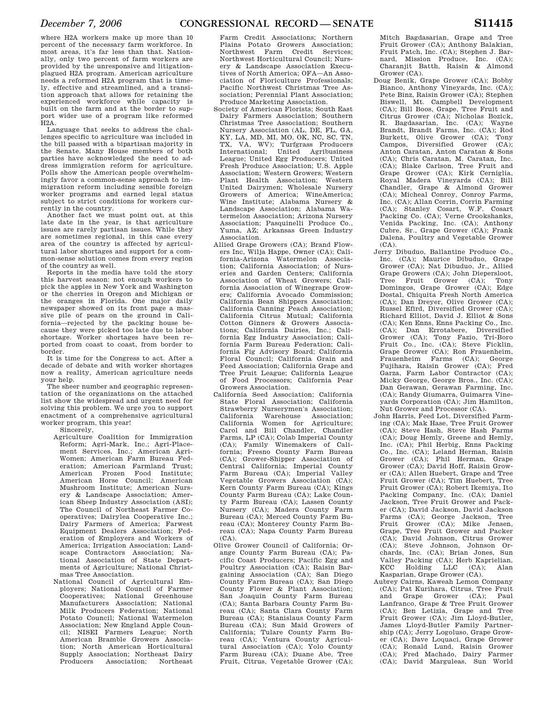where H2A workers make up more than 10 percent of the necessary farm workforce. In most areas, it's far less than that. Nationally, only two percent of farm workers are provided by the unresponsive and litigationplagued H2A program. American agriculture needs a reformed H2A program that is timely, effective and streamlined, and a transition approach that allows for retaining the experienced workforce while capacity is built on the farm and at the border to support wider use of a program like reformed  $H2A$ .

Language that seeks to address the challenges specific to agriculture was included in the bill passed with a bipartisan majority in the Senate. Many House members of both parties have acknowledged the need to address immigration reform for agriculture. Polls show the American people overwhelmingly favor a common-sense approach to immigration reform including sensible foreign worker programs and earned legal status subject to strict conditions for workers currently in the country.

Another fact we must point out, at this late date in the year, is that agriculture issues are rarely partisan issues. While they are sometimes regional, in this case every area of the country is affected by agricultural labor shortages and support for a common-sense solution comes from every region of the country as well.

Reports in the media have told the story this harvest season: not enough workers to pick the apples in New York and Washington or the cherries in Oregon and Michigan or the oranges in Florida. One major daily newspaper showed on its front page a massive pile of pears on the ground in California—rejected by the packing house because they were picked too late due to labor shortage. Worker shortages have been reported from coast to coast, from border to border.

It is time for the Congress to act. After a decade of debate and with worker shortages now a reality, American agriculture needs your help.

The sheer number and geographic representation of the organizations on the attached list show the widespread and urgent need for solving this problem. We urge you to support enactment of a comprehensive agricultural worker program, this year!

Sincerely,

- Agriculture Coalition for Immigration Reform; Agri-Mark, Inc.; Agri-Placement Services, Inc.; American Agri-Women; American Farm Bureau Federation; American Farmland Trust; American Frozen Food Institute; American Horse Council; American Mushroom Institute; American Nursery & Landscape Association; American Sheep Industry Association (ASI); The Council of Northeast Farmer Cooperatives; Dairylea Cooperative Inc.; Dairy Farmers of America; Farwest Equipment Dealers Association; Federation of Employers and Workers of America; Irrigation Association; Landscape Contractors Association; National Association of State Departments of Agriculture; National Christmas Tree Association.
- National Council of Agricultural Employers; National Council of Farmer Cooperatives; National Greenhouse Manufacturers Association; National Milk Producers Federation; National Potato Council; National Watermelon Association; New England Apple Council; NISEI Farmers League; North American Bramble Growers Association; North American Horticultural Supply Association; Northeast Dairy Producers Association; Northeast

Farm Credit Associations; Northern Plains Potato Growers Association; Northwest Farm Credit Services; Northwest Horticultural Council; Nursery & Landscape Association Executives of North America; OFA—An Association of Floriculture Professionals; Pacific Northwest Christmas Tree Association; Perennial Plant Association; Produce Marketing Association.

- Society of American Florists; South East Dairy Farmers Association; Southern Christmas Tree Association; Southern Nursery Association (AL, DE, FL, GA, KY, LA, MD, MI, MO, OK, NC, SC, TN, TX, VA, WV); Turfgrass Producers International; United Agribusiness League; United Egg Producers; United Fresh Produce Association; U.S. Apple Association; Western Growers; Western Plant Health Association; Western United Dairymen; Wholesale Nursery Growers of America; WineAmerica; Wine Institute; Alabama Nursery & Landscape Association; Alabama Watermelon Association; Arizona Nursery Association; Pasquinelli Produce Co., Yuma, AZ; Arkansas Green Industry Association.
- Allied Grape Growers (CA); Brand Flowers Inc, Wilja Happe, Owner (CA); California-Arizona Watermelon Association; California Association; of Nurseries and Garden Centers; California Association of Wheat Growers; California Association of Winegrape Growers; California Avocado Commission; California Bean Shippers Association; California Canning Peach Association; California Citrus Mutual; California Cotton Ginners & Growers Associations; California Dairies, Inc.; California Egg Industry Association; California Farm Bureau Federation; Cali-fornia Fig Advisory Board; California Floral Council; California Grain and Feed Association; California Grape and Tree Fruit League; California League of Food Processors; California Pear Growers Association.
- California Seed Association; California State Floral Association; California Strawberry Nurserymen's Association; California Warehouse Association; California Women for Agriculture; Carol and Bill Chandler, Chandler Farms, LP (CA); Colab Imperial County (CA); Family Winemakers of Cali-fornia; Fresno County Farm Bureau (CA); Grower-Shipper Association of Central California; Imperial County Farm Bureau (CA); Imperial Valley Vegetable Growers Association (CA); Kern County Farm Bureau (CA); Kings County Farm Bureau (CA); Lake County Farm Bureau (CA); Lassen County Nursery (CA); Madera County Farm Bureau (CA); Merced County Farm Bureau (CA); Monterey County Farm Bureau (CA); Napa County Farm Bureau  $(CA)$ .
- Olive Grower Council of California; Orange County Farm Bureau (CA); Pacific Coast Producers; Pacific Egg and Poultry Association (CA); Raisin Bargaining Association (CA); San Diego County Farm Bureau (CA); San Diego County Flower & Plant Association; San Joaquin County Farm Bureau (CA); Santa Barbara County Farm Bureau (CA); Santa Clara County Farm Bureau (CA); Stanislaus County Farm Bureau (CA); Sun Maid Growers of California; Tulare County Farm Bureau (CA); Ventura County Agricultural Association (CA); Yolo County Farm Bureau (CA); Duane Abe, Tree Fruit, Citrus, Vegetable Grower (CA);

Mitch Bagdasarian, Grape and Tree Fruit Grower (CA); Anthony Balakian, Fruit Patch, Inc. (CA); Stephen J. Barnard, Mission Produce, Inc. (CA); Charanjit Batth, Raisin & Almond Grower (CA).

- Doug Benik, Grape Grower (CA); Bobby Bianco, Anthony Vineyards, Inc. (CA); Pete Binz, Raisin Grower (CA); Stephen Biswell, Mt. Campbell Development (CA); Bill Boos, Grape, Tree Fruit and Citrus Grower (CA); Nicholas Bozick, R. Bagdasarian, Inc. (CA); Wayne Brandt, Brandt Farms, Inc. (CA); Rod Burkett, Olive Grower (CA); Tony Campos, Diversified Grower (CA); Anton Caratan, Anton Caratan & Sons (CA); Chris Caratan, M. Caratan, Inc. (CA); Blake Carlson, Tree Fruit and Grape Grower (CA); Kirk Cerniglia, Royal Madera Vineyards (CA); Bill Chandler, Grape & Almond Grower (CA); Micheal Conroy, Conroy Farms, Inc. (CA); Allan Corrin, Corrin Farming (CA); Stanley Cosart, W.F. Cosart Packing Co. (CA); Verne Crookshanks, Venida Packing, Inc. (CA); Anthony Cubre, Sr., Grape Grower (CA); Frank Dalena, Poultry and Vegetable Grower  $(CA)$ .
- Jerry Dibuduo, Ballantine Produce Co., Inc. (CA); Maurice Dibuduo, Grape Grower (CA); Nat Dibuduo, Jr., Allied Grape Growers (CA); John Diepersloot, Tree Fruit Grower (CA); Tony Domingos, Grape Grower (CA); Edge Dostal, Chiquita Fresh North America (CA); Dan Dreyer, Olive Grower (CA); Russel Efird, Diversified Grower (CA); Richard Elliot, David J. Elliot & Sons (CA); Ken Enns, Enns Packing Co., Inc. (CA); Dan Errotabere, Diversified Grower (CA); Tony Fazio, Tri-Boro Fruit Co., Inc. (CA); Steve Ficklin, Grape Grower (CA); Ron Frauenheim, Frauenheim Farms (CA); George Fujihara, Raisin Grower (CA); Fred Garza, Farm Labor Contractor (CA); Micky George, George Bros., Inc. (CA); Dan Gerawan, Gerawan Farming, Inc. (CA); Randy Giumarra, Guimarra Vineyards Corporation (CA); Jim Hamilton, Nut Grower and Processor (CA).
- John Harris, Feed Lot, Diversified Farming (CA); Mak Hase, Tree Fruit Grower (CA); Steve Hash, Steve Hash Farms (CA); Doug Hemly, Greene and Hemly, Inc. (CA); Phil Herbig, Enns Packing Co., Inc. (CA); Leland Herman, Raisin Grower (CA); Phil Herman, Grape Grower (CA); David Hoff, Raisin Grower (CA); Allen Huebert, Grape and Tree Fruit Grower (CA); Tim Huebert, Tree Fruit Grower (CA); Robert Ikemiya, Ito Packing Company, Inc. (CA); Daniel Jackson, Tree Fruit Grower and Packer (CA); David Jackson, David Jackson Farms (CA); George Jackson, Tree Fruit Grower (CA); Mike Jensen, Grape, Tree Fruit Grower and Packer (CA); David Johnson, Citrus Grower (CA); Steve Johnson, Johnson Orchards, Inc. (CA); Brian Jones, Sun Valley Packing (CA); Herb Kaprielian, KCC Holding LLC (CA); Alan Kasparian, Grape Grower (CA).
- Aubrey Cairns, Kaweah Lemon Company (CA); Pat Kurihara, Citrus, Tree Fruit and Grape Grower (CA); Paul Lanfranco, Grape & Tree Fruit Grower (CA); Ben Letizia, Grape and Tree Fruit Grower (CA); Jim Lloyd-Butler, James Lloyd-Butler Family Partnership (CA); Jerry Logoluso, Grape Grower (CA); Dave Loquaci, Grape Grower (CA); Ronald Lund, Raisin Grower (CA); Fred Machado, Dairy Farmer (CA); David Marguleas, Sun World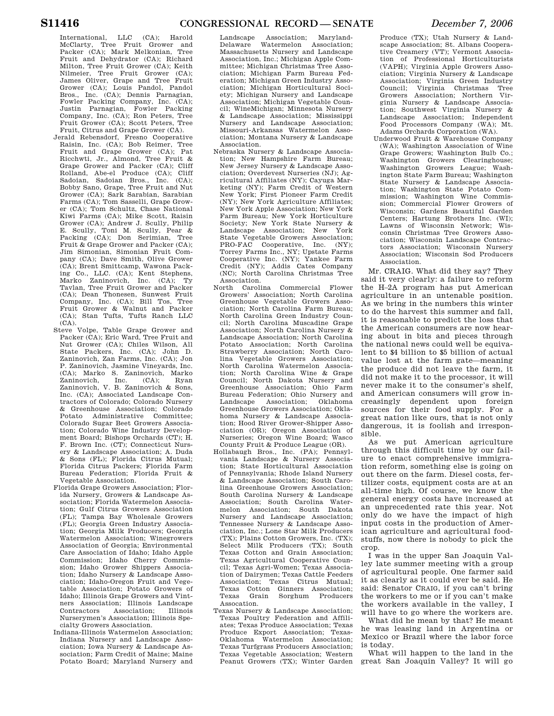International, LLC (CA); Harold McClarty, Tree Fruit Grower and Packer (CA); Mark Melkonian, Tree Fruit and Dehydrator (CA); Richard Milton, Tree Fruit Grower (CA); Keith Nilmeier, Tree Fruit Grower (CA); James Oliver, Grape and Tree Fruit Grower (CA); Louis Pandol, Pandol Bros., Inc. (CA); Dennis Parnagian, Fowler Packing Company, Inc. (CA); Justin Parnagian, Fowler Packing Company, Inc. (CA); Ron Peters, Tree Fruit Grower (CA); Scott Peters, Tree Fruit, Citrus and Grape Grower (CA).

- Jerald Rebensdorf, Fresno Cooperative Raisin, Inc. (CA); Bob Reimer, Tree Fruit and Grape Grower (CA); Pat Ricchwti, Jr., Almond, Tree Fruit & Grape Grower and Packer (CA); Cliff Rolland, Abe-el Produce (CA); Cliff Sadoian, Sadoian Bros., Inc. (CA); Bobby Sano, Grape, Tree Fruit and Nut Grower (CA); Sark Sarabian, Sarabian Farms (CA); Tom Sasselli, Grape Grower (CA); Tom Schultz, Chase National Kiwi Farms (CA); Mike Scott, Raisin Grower (CA); Andrew J. Scully, Philip E. Scully, Toni M. Scully, Pear & Packing (CA); Don Serimian, Tree Fruit & Grape Grower and Packer (CA); Jim Simonian, Simonian Fruit Company (CA); Dave Smith, Olive Grower (CA); Brent Smittcamp, Wawona Pack-ing Co., LLC. (CA); Kent Stephens, Marko Zaninovich, Inc. (CA); Ty Tavlan, Tree Fruit Grower and Packer (CA); Dean Thonesen, Sunwest Fruit Company, Inc. (CA); Bill Tos, Tree Fruit Grower & Walnut and Packer (CA); Stan Tufts, Tufts Ranch LLC  $(CA)$ .
- Steve Volpe, Table Grape Grower and Packer (CA); Eric Ward, Tree Fruit and Nut Grower (CA); Chiles Wilson, All State Packers, Inc. (CA); John D. Zaninovich, Zan Farms, Inc. (CA); Jon P. Zaninovich, Jasmine Vineyards, Inc. (CA); Marko S. Zaninovich, Marko Zaninovich, Inc. (CA); Ryan Zaninovich, V. B. Zaninovich & Sons, Inc. (CA); Associated Landscape Contractors of Colorado; Colorado Nursery & Greenhouse Association; Colorado Potato Administrative Committee; Colorado Sugar Beet Growers Association; Colorado Wine Industry Development Board; Bishops Orchards (CT); H. F. Brown Inc. (CT); Connecticut Nursery & Landscape Association; A. Duda & Sons (FL); Florida Citrus Mutual; Florida Citrus Packers; Florida Farm Bureau Federation; Florida Fruit & Vegetable Association.
- Florida Grape Growers Association; Florida Nursery, Growers & Landscape Association; Florida Watermelon Association; Gulf Citrus Growers Association (FL); Tampa Bay Wholesale Growers (FL); Georgia Green Industry Association; Georgia Milk Producers; Georgia Watermelon Association; Winegrowers Association of Georgia; Environmental Care Association of Idaho; Idaho Apple Commission; Idaho Cherry Commission; Idaho Grower Shippers Association; Idaho Nursery & Landscape Association; Idaho-Oregon Fruit and Vegetable Association; Potato Growers of Idaho; Illinois Grape Growers and Vintners Association; Illinois Landscape Contractors Association; Illinois Nurserymen's Association; Illinois Specialty Growers Association.
- Indiana-Illinois Watermelon Association; Indiana Nursery and Landscape Association; Iowa Nursery & Landscape Association; Farm Credit of Maine; Maine Potato Board; Maryland Nursery and

Landscape Association; Maryland-Delaware Watermelon Massachusetts Nursery and Landscape Association, Inc.; Michigan Apple Committee; Michigan Christmas Tree Association; Michigan Farm Bureau Federation; Michigan Green Industry Association; Michigan Horticultural Society; Michigan Nursery and Landscape Association; Michigan Vegetable Council; WineMichigan; Minnesota Nursery & Landscape Association; Mississippi Nursery and Landscape Association; Missouri-Arkansas Watermelon Association; Montana Nursery & Landscape Association.

- Nebraska Nursery & Landscape Association; New Hampshire Farm Bureau; New Jersey Nursery & Landscape Association; Overdevest Nurseries (NJ); Agricultural Affiliates (NY); Cayuga Marketing (NY); Farm Credit of Western New York; First Pioneer Farm Credit (NY); New York Agriculture Affiliates; New York Apple Association; New York Farm Bureau; New York Horticulture Society; New York State Nursery & Landscape Association; New York State Vegetable Growers Association; PRO-FAC Cooperative, Inc. (NY); Torrey Farms Inc., NY; Upstate Farms Cooperative Inc. (NY); Yankee Farm Credit (NY); Addis Cates Company (NC); North Carolina Christmas Tree Association.
- North Carolina Commercial Flower Growers' Association; North Carolina Greenhouse Vegetable Growers Association; North Carolina Farm Bureau; North Carolina Green Industry Council; North Carolina Muscadine Grape Association; North Carolina Nursery & Landscape Association; North Carolina Potato Association; North Carolina Strawberry Association; North Carolina Vegetable Growers Association; North Carolina Watermelon Association; North Carolina Wine & Grape Council; North Dakota Nursery and Greenhouse Association; Ohio Farm Bureau Federation; Ohio Nursery and<br>Landscape Association: Oklahoma Association; Greenhouse Growers Association; Oklahoma Nursery  $\&$  Landscape Association; Hood River Grower-Shipper Association (OR); Oregon Association of Nurseries; Oregon Wine Board; Wasco County Fruit & Produce League (OR).
- Hollabaugh Bros., Inc. (PA); Pennsylvania Landscape & Nursery Association; State Horticultural Association of Pennsylvania; Rhode Island Nursery & Landscape Association; South Carolina Greenhouse Growers Association; South Carolina Nursery & Landscape Association; South Carolina Watermelon Association; South Dakota Nursery and Landscape Association; Tennessee Nursery & Landscape Association, Inc.; Lone Star Milk Producers (TX); Plains Cotton Growers, Inc. (TX); Select Milk Producers (TX); South Texas Cotton and Grain Association; Texas Agricultural Cooperative Council; Texas Agri-Women; Texas Association of Dairymen; Texas Cattle Feeders Association; Texas Citrus Mutual; Texas Cotton Ginners Association; Texas Grain Sorghum Producers Assocation.
- Texas Nursery & Landscape Association; Texas Poultry Federation and Affiliates; Texas Produce Association; Texas Produce Export Association; Texas-Oklahoma Watermelon Association; Texas Turfgrass Producers Association; Texas Vegetable Association; Western Peanut Growers (TX); Winter Garden

Produce (TX); Utah Nursery & Landscape Association; St. Albans Cooperative Creamery (VT); Vermont Association of Professional Horticulturists (VAPH); Virginia Apple Growers Association; Virginia Nursery & Landscape Association; Virginia Green Industry Council; Virginia Christmas Tree Growers Association; Northern Virginia Nursery & Landscape Association; Southwest Virginia Nursery & Landscape Association; Independent Food Processors Company (WA); Mt. Adams Orchards Corporation (WA).

Underwood Fruit & Warehouse Company (WA); Washington Association of Wine Grape Growers; Washington Bulb Co.; Washington Growers Clearinghouse; Washington Growers League; Washington State Farm Bureau; Washington State Nursery & Landscape Association; Washington State Potato Commission; Washington Wine Commission; Commercial Flower Growers of Wisconsin; Gardens Beautiful Garden Centers; Hartung Brothers Inc. (WI); Lawns of Wisconsin Network; Wisconsin Christmas Tree Growers Association; Wisconsin Landscape Contractors Association; Wisconsin Nursery Association; Wisconsin Sod Producers Association.

Mr. CRAIG. What did they say? They said it very clearly: a failure to reform the H–2A program has put American agriculture in an untenable position. As we bring in the numbers this winter to do the harvest this summer and fall, it is reasonable to predict the loss that the American consumers are now hearing about in bits and pieces through the national news could well be equivalent to \$4 billion to \$5 billion of actual value lost at the farm gate—meaning the produce did not leave the farm, it did not make it to the processor, it will never make it to the consumer's shelf, and American consumers will grow increasingly dependent upon foreign sources for their food supply. For a great nation like ours, that is not only dangerous, it is foolish and irresponsible.

As we put American agriculture through this difficult time by our failure to enact comprehensive immigration reform, something else is going on out there on the farm. Diesel costs, fertilizer costs, equipment costs are at an all-time high. Of course, we know the general energy costs have increased at an unprecedented rate this year. Not only do we have the impact of high input costs in the production of American agriculture and agricultural foodstuffs, now there is nobody to pick the crop.

I was in the upper San Joaquin Valley late summer meeting with a group of agricultural people. One farmer said it as clearly as it could ever be said. He said: Senator CRAIG, if you can't bring the workers to me or if you can't make the workers available in the valley, I will have to go where the workers are.

What did he mean by that? He meant he was leasing land in Argentina or Mexico or Brazil where the labor force is today.

What will happen to the land in the great San Joaquin Valley? It will go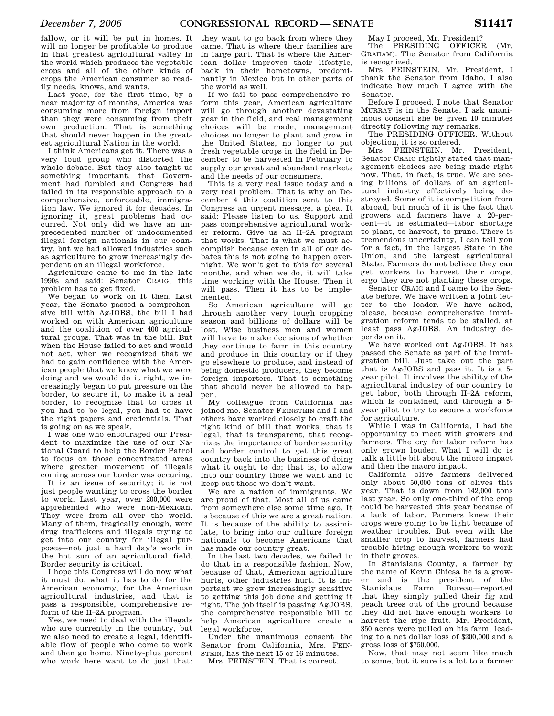fallow, or it will be put in homes. It will no longer be profitable to produce in that greatest agricultural valley in the world which produces the vegetable crops and all of the other kinds of crops the American consumer so readily needs, knows, and wants.

Last year, for the first time, by a near majority of months, America was consuming more from foreign import than they were consuming from their own production. That is something that should never happen in the greatest agricultural Nation in the world.

I think Americans get it. There was a very loud group who distorted the whole debate. But they also taught us something important, that Government had fumbled and Congress had failed in its responsible approach to a comprehensive, enforceable, immigration law. We ignored it for decades. In ignoring it, great problems had occurred. Not only did we have an unprecedented number of undocumented illegal foreign nationals in our country, but we had allowed industries such as agriculture to grow increasingly dependent on an illegal workforce.

Agriculture came to me in the late 1990s and said: Senator CRAIG, this problem has to get fixed.

We began to work on it then Last year, the Senate passed a comprehensive bill with AgJOBS, the bill I had worked on with American agriculture and the coalition of over 400 agricultural groups. That was in the bill. But when the House failed to act and would not act, when we recognized that we had to gain confidence with the American people that we knew what we were doing and we would do it right, we increasingly began to put pressure on the border, to secure it, to make it a real border, to recognize that to cross it you had to be legal, you had to have the right papers and credentials. That is going on as we speak.

I was one who encouraged our President to maximize the use of our National Guard to help the Border Patrol to focus on those concentrated areas where greater movement of illegals coming across our border was occuring.

It is an issue of security; it is not just people wanting to cross the border to work. Last year, over 200,000 were apprehended who were non-Mexican. They were from all over the world. Many of them, tragically enough, were drug traffickers and illegals trying to get into our country for illegal purposes—not just a hard day's work in the hot sun of an agricultural field. Border security is critical.

I hope this Congress will do now what it must do, what it has to do for the American economy, for the American agricultural industries, and that is pass a responsible, comprehensive reform of the H–2A program.

Yes, we need to deal with the illegals who are currently in the country, but we also need to create a legal, identifiable flow of people who come to work and then go home. Ninety-plus percent who work here want to do just that:

they want to go back from where they came. That is where their families are in large part. That is where the American dollar improves their lifestyle, back in their hometowns, predominantly in Mexico but in other parts of the world as well.

If we fail to pass comprehensive reform this year, American agriculture will go through another devastating year in the field, and real management choices will be made, management choices no longer to plant and grow in the United States, no longer to put fresh vegetable crops in the field in December to be harvested in February to supply our great and abundant markets and the needs of our consumers.

This is a very real issue today and a very real problem. That is why on December 4 this coalition sent to this Congress an urgent message, a plea. It said: Please listen to us. Support and pass comprehensive agricultural worker reform. Give us an H–2A program that works. That is what we must accomplish because even in all of our debates this is not going to happen overnight. We won't get to this for several months, and when we do, it will take time working with the House. Then it will pass. Then it has to be implemented.

So American agriculture will go through another very tough cropping season and billions of dollars will be lost. Wise business men and women will have to make decisions of whether they continue to farm in this country and produce in this country or if they go elsewhere to produce, and instead of being domestic producers, they become foreign importers. That is something that should never be allowed to happen.

My colleague from California has joined me. Senator FEINSTEIN and I and others have worked closely to craft the right kind of bill that works, that is legal, that is transparent, that recognizes the importance of border security and border control to get this great country back into the business of doing what it ought to do; that is, to allow into our country those we want and to keep out those we don't want.

We are a nation of immigrants. We are proud of that. Most all of us came from somewhere else some time ago. It is because of this we are a great nation. It is because of the ability to assimilate, to bring into our culture foreign nationals to become Americans that has made our country great.

In the last two decades, we failed to do that in a responsible fashion. Now, because of that, American agriculture hurts, other industries hurt. It is important we grow increasingly sensitive to getting this job done and getting it right. The job itself is passing AgJOBS, the comprehensive responsible bill to help American agriculture create a legal workforce.

Under the unanimous consent the Senator from California, Mrs. FEIN-STEIN, has the next 15 or 16 minutes.

Mrs. FEINSTEIN. That is correct.

May I proceed, Mr. President? The PRESIDING OFFICER (Mr.

GRAHAM). The Senator from California is recognized.

Mrs. FEINSTEIN. Mr. President, I thank the Senator from Idaho. I also indicate how much I agree with the Senator.

Before I proceed, I note that Senator MURRAY is in the Senate. I ask unanimous consent she be given 10 minutes directly following my remarks.

The PRESIDING OFFICER. Without objection, it is so ordered.

Mrs. FEINSTEIN. Mr. President, Senator CRAIG rightly stated that management choices are being made right now. That, in fact, is true. We are seeing billions of dollars of an agricultural industry effectively being destroyed. Some of it is competition from abroad, but much of it is the fact that growers and farmers have a 20-percent—it is estimated—labor shortage to plant, to harvest, to prune. There is tremendous uncertainty, I can tell you for a fact, in the largest State in the Union, and the largest agricultural State. Farmers do not believe they can get workers to harvest their crops, ergo they are not planting these crops.

Senator CRAIG and I came to the Senate before. We have written a joint letter to the leader. We have asked, please, because comprehensive immigration reform tends to be stalled, at least pass AgJOBS. An industry depends on it.

We have worked out AgJOBS. It has passed the Senate as part of the immigration bill. Just take out the part that is AgJOBS and pass it. It is a 5 year pilot. It involves the ability of the agricultural industry of our country to get labor, both through H–2A reform, which is contained, and through a 5year pilot to try to secure a workforce for agriculture.

While I was in California, I had the opportunity to meet with growers and farmers. The cry for labor reform has only grown louder. What I will do is talk a little bit about the micro impact and then the macro impact.

California olive farmers delivered only about 50,000 tons of olives this year. That is down from 142,000 tons last year. So only one-third of the crop could be harvested this year because of a lack of labor. Farmers knew their crops were going to be light because of weather troubles. But even with the smaller crop to harvest, farmers had trouble hiring enough workers to work in their groves.

In Stanislaus County, a farmer by the name of Kevin Chiesa he is a grower and is the president of the Stanislaus Farm Bureau—reported that they simply pulled their fig and peach trees out of the ground because they did not have enough workers to harvest the ripe fruit. Mr. President, 350 acres were pulled on his farm, leading to a net dollar loss of \$200,000 and a gross loss of \$750,000.

Now, that may not seem like much to some, but it sure is a lot to a farmer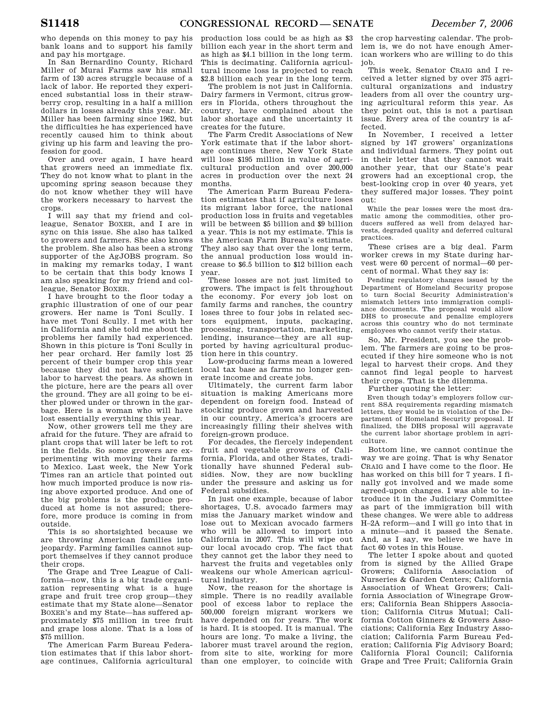who depends on this money to pay his bank loans and to support his family and pay his mortgage.

In San Bernardino County, Richard Miller of Murai Farms saw his small farm of 130 acres struggle because of a lack of labor. He reported they experienced substantial loss in their strawberry crop, resulting in a half a million dollars in losses already this year. Mr. Miller has been farming since 1962, but the difficulties he has experienced have recently caused him to think about giving up his farm and leaving the profession for good.

Over and over again, I have heard that growers need an immediate fix. They do not know what to plant in the upcoming spring season because they do not know whether they will have the workers necessary to harvest the crops.

I will say that my friend and colleague, Senator BOXER, and I are in sync on this issue. She also has talked to growers and farmers. She also knows the problem. She also has been a strong supporter of the AgJOBS program. So in making my remarks today, I want to be certain that this body knows I am also speaking for my friend and colleague, Senator BOXER.

I have brought to the floor today a graphic illustration of one of our pear growers. Her name is Toni Scully. I have met Toni Scully. I met with her in California and she told me about the problems her family had experienced. Shown in this picture is Toni Scully in her pear orchard. Her family lost 25 percent of their bumper crop this year because they did not have sufficient labor to harvest the pears. As shown in the picture, here are the pears all over the ground. They are all going to be either plowed under or thrown in the garbage. Here is a woman who will have lost essentially everything this year.

Now, other growers tell me they are afraid for the future. They are afraid to plant crops that will later be left to rot in the fields. So some growers are experimenting with moving their farms to Mexico. Last week, the New York Times ran an article that pointed out how much imported produce is now rising above exported produce. And one of the big problems is the produce produced at home is not assured; therefore, more produce is coming in from outside.

This is so shortsighted because we are throwing American families into jeopardy. Farming families cannot support themselves if they cannot produce their crops.

The Grape and Tree League of California—now, this is a big trade organization representing what is a huge grape and fruit tree crop group—they estimate that my State alone—Senator BOXER's and my State—has suffered approximately \$75 million in tree fruit and grape loss alone. That is a loss of \$75 million.

The American Farm Bureau Federation estimates that if this labor shortage continues, California agricultural production loss could be as high as \$3 billion each year in the short term and as high as \$4.1 billion in the long term. This is decimating. California agricultural income loss is projected to reach \$2.8 billion each year in the long term.

The problem is not just in California. Dairy farmers in Vermont, citrus growers in Florida, others throughout the country, have complained about the labor shortage and the uncertainty it creates for the future.

The Farm Credit Associations of New York estimate that if the labor shortage continues there, New York State will lose \$195 million in value of agricultural production and over 200,000 acres in production over the next 24 months.

The American Farm Bureau Federation estimates that if agriculture loses its migrant labor force, the national production loss in fruits and vegetables will be between \$5 billion and \$9 billion a year. This is not my estimate. This is the American Farm Bureau's estimate. They also say that over the long term, the annual production loss would increase to \$6.5 billion to \$12 billion each year.

These losses are not just limited to growers. The impact is felt throughout the economy. For every job lost on family farms and ranches, the country loses three to four jobs in related sectors equipment, inputs, packaging, processing, transportation, marketing, lending, insurance—they are all supported by having agricultural production here in this country.

Low-producing farms mean a lowered local tax base as farms no longer generate income and create jobs.

Ultimately, the current farm labor situation is making Americans more dependent on foreign food. Instead of stocking produce grown and harvested in our country, America's grocers are increasingly filling their shelves with foreign-grown produce.

For decades, the fiercely independent fruit and vegetable growers of California, Florida, and other States, traditionally have shunned Federal subsidies. Now, they are now buckling under the pressure and asking us for Federal subsidies.

In just one example, because of labor shortages, U.S. avocado farmers may miss the January market window and lose out to Mexican avocado farmers who will be allowed to import into California in 2007. This will wipe out our local avocado crop. The fact that they cannot get the labor they need to harvest the fruits and vegetables only weakens our whole American agricultural industry.

Now, the reason for the shortage is simple. There is no readily available pool of excess labor to replace the 500,000 foreign migrant workers we have depended on for years. The work is hard. It is stooped. It is manual. The hours are long. To make a living, the laborer must travel around the region, from site to site, working for more than one employer, to coincide with

the crop harvesting calendar. The problem is, we do not have enough American workers who are willing to do this job.

This week, Senator CRAIG and I received a letter signed by over 375 agricultural organizations and industry leaders from all over the country urging agricultural reform this year. As they point out, this is not a partisan issue. Every area of the country is affected.

In November, I received a letter signed by 147 growers' organizations and individual farmers. They point out in their letter that they cannot wait another year, that our State's pear growers had an exceptional crop, the best-looking crop in over 40 years, yet they suffered major losses. They point out:

While the pear losses were the most dramatic among the commodities, other producers suffered as well from delayed harvests, degraded quality and deferred cultural practices.

These crises are a big deal. Farm worker crews in my State during harvest were 60 percent of normal—60 percent of normal. What they say is:

Pending regulatory changes issued by the Department of Homeland Security propose to turn Social Security Administration's mismatch letters into immigration compliance documents. The proposal would allow DHS to prosecute and penalize employers across this country who do not terminate employees who cannot verify their status.

So, Mr. President, you see the problem. The farmers are going to be prosecuted if they hire someone who is not legal to harvest their crops. And they cannot find legal people to harvest their crops. That is the dilemma.

Further quoting the letter:

Even though today's employers follow current SSA requirements regarding mismatch letters, they would be in violation of the Department of Homeland Security proposal. If finalized, the DHS proposal will aggravate the current labor shortage problem in agriculture.

Bottom line, we cannot continue the way we are going. That is why Senator CRAIG and I have come to the floor. He has worked on this bill for 7 years. I finally got involved and we made some agreed-upon changes. I was able to introduce it in the Judiciary Committee as part of the immigration bill with these changes. We were able to address H–2A reform—and I will go into that in a minute—and it passed the Senate. And, as I say, we believe we have in fact 60 votes in this House.

The letter I spoke about and quoted from is signed by the Allied Grape Growers; California Association of Nurseries & Garden Centers; California Association of Wheat Growers; California Association of Winegrape Growers; California Bean Shippers Association; California Citrus Mutual; California Cotton Ginners & Growers Associations; California Egg Industry Association; California Farm Bureau Federation; California Fig Advisory Board; California Floral Council; California Grape and Tree Fruit; California Grain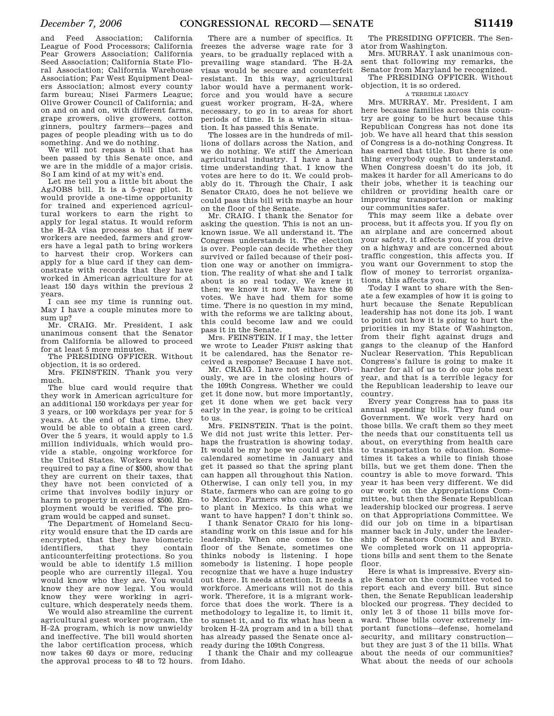and Feed Association; California League of Food Processors; California Pear Growers Association; California Seed Association; California State Floral Association; California Warehouse Association; Far West Equipment Dealers Association; almost every county farm bureau; Nisei Farmers League; Olive Grower Council of California; and on and on and on, with different farms, grape growers, olive growers, cotton ginners, poultry farmers—pages and pages of people pleading with us to do something. And we do nothing.

We will not repass a bill that has been passed by this Senate once, and we are in the middle of a major crisis. So I am kind of at my wit's end.

Let me tell you a little bit about the AgJOBS bill. It is a 5-year pilot. It would provide a one-time opportunity for trained and experienced agricultural workers to earn the right to apply for legal status. It would reform the H–2A visa process so that if new workers are needed, farmers and growers have a legal path to bring workers to harvest their crop. Workers can apply for a blue card if they can demonstrate with records that they have worked in American agriculture for at least 150 days within the previous 2 years.

I can see my time is running out. May I have a couple minutes more to sum up?

Mr. CRAIG. Mr. President, I ask unanimous consent that the Senator from California be allowed to proceed for at least 5 more minutes.

The PRESIDING OFFICER. Without objection, it is so ordered.

Mrs. FEINSTEIN. Thank you very much.

The blue card would require that they work in American agriculture for an additional 150 workdays per year for 3 years, or 100 workdays per year for 5 years. At the end of that time, they would be able to obtain a green card. Over the 5 years, it would apply to 1.5 million individuals, which would provide a stable, ongoing workforce for the United States. Workers would be required to pay a fine of \$500, show that they are current on their taxes, that they have not been convicted of a crime that involves bodily injury or harm to property in excess of \$500. Employment would be verified. The program would be capped and sunset.

The Department of Homeland Security would ensure that the ID cards are encrypted, that they have biometric identifiers, that they contain anticounterfeiting protections. So you would be able to identify 1.5 million people who are currently illegal. You would know who they are. You would know they are now legal. You would know they were working in agriculture, which desperately needs them.

We would also streamline the current agricultural guest worker program, the H–2A program, which is now unwieldy and ineffective. The bill would shorten the labor certification process, which now takes 60 days or more, reducing the approval process to 48 to 72 hours.

There are a number of specifics. It freezes the adverse wage rate for 3 years, to be gradually replaced with a prevailing wage standard. The H–2A visas would be secure and counterfeit resistant. In this way, agricultural labor would have a permanent workforce and you would have a secure guest worker program, H–2A, where necessary, to go in to areas for short periods of time. It is a win/win situation. It has passed this Senate.

The losses are in the hundreds of millions of dollars across the Nation, and we do nothing. We stiff the American agricultural industry. I have a hard time understanding that. I know the votes are here to do it. We could probably do it. Through the Chair, I ask Senator CRAIG, does he not believe we could pass this bill with maybe an hour on the floor of the Senate.

Mr. CRAIG. I thank the Senator for asking the question. This is not an unknown issue. We all understand it. The Congress understands it. The election is over. People can decide whether they survived or failed because of their position one way or another on immigration. The reality of what she and I talk about is so real today. We knew it then; we know it now. We have the 60 votes. We have had them for some time. There is no question in my mind, with the reforms we are talking about. this could become law and we could pass it in the Senate.

Mrs. FEINSTEIN. If I may, the letter we wrote to Leader FRIST asking that it be calendared, has the Senator received a response? Because I have not.

Mr. CRAIG. I have not either. Obviously, we are in the closing hours of the 109th Congress. Whether we could get it done now, but more importantly, get it done when we get back very early in the year, is going to be critical to us.

Mrs. FEINSTEIN. That is the point. We did not just write this letter. Perhaps the frustration is showing today. It would be my hope we could get this calendared sometime in January and get it passed so that the spring plant can happen all throughout this Nation. Otherwise, I can only tell you, in my State, farmers who can are going to go to Mexico. Farmers who can are going to plant in Mexico. Is this what we want to have happen? I don't think so.

I thank Senator CRAIG for his longstanding work on this issue and for his leadership. When one comes to the floor of the Senate, sometimes one thinks nobody is listening. I hope somebody is listening. I hope people recognize that we have a huge industry out there. It needs attention. It needs a workforce. Americans will not do this work. Therefore, it is a migrant workforce that does the work. There is a methodology to legalize it, to limit it, to sunset it, and to fix what has been a broken H–2A program and in a bill that has already passed the Senate once already during the 109th Congress.

I thank the Chair and my colleague from Idaho.

The PRESIDING OFFICER. The Senator from Washington.

Mrs. MURRAY. I ask unanimous consent that following my remarks, the Senator from Maryland be recognized.

The PRESIDING OFFICER. Without objection, it is so ordered.

#### A TERRIBLE LEGACY

Mrs. MURRAY. Mr. President, I am here because families across this country are going to be hurt because this Republican Congress has not done its job. We have all heard that this session of Congress is a do-nothing Congress. It has earned that title. But there is one thing everybody ought to understand. When Congress doesn't do its job, it makes it harder for all Americans to do their jobs, whether it is teaching our children or providing health care or improving transportation or making our communities safer.

This may seem like a debate over process, but it affects you. If you fly on an airplane and are concerned about your safety, it affects you. If you drive on a highway and are concerned about traffic congestion, this affects you. If you want our Government to stop the flow of money to terrorist organizations, this affects you.

Today I want to share with the Senate a few examples of how it is going to hurt because the Senate Republican leadership has not done its job. I want to point out how it is going to hurt the priorities in my State of Washington, from their fight against drugs and gangs to the cleanup of the Hanford Nuclear Reservation. This Republican Congress's failure is going to make it harder for all of us to do our jobs next year, and that is a terrible legacy for the Republican leadership to leave our country.

Every year Congress has to pass its annual spending bills. They fund our Government. We work very hard on those bills. We craft them so they meet the needs that our constituents tell us about, on everything from health care to transportation to education. Sometimes it takes a while to finish those bills, but we get them done. Then the country is able to move forward. This year it has been very different. We did our work on the Appropriations Committee, but then the Senate Republican leadership blocked our progress. I serve on that Appropriations Committee. We did our job on time in a bipartisan manner back in July, under the leadership of Senators COCHRAN and BYRD. We completed work on 11 appropriations bills and sent them to the Senate floor.

Here is what is impressive. Every single Senator on the committee voted to report each and every bill. But since then, the Senate Republican leadership blocked our progress. They decided to only let 3 of those 11 bills move forward. Those bills cover extremely important functions—defense, homeland security, and military construction but they are just 3 of the 11 bills. What about the needs of our communities? What about the needs of our schools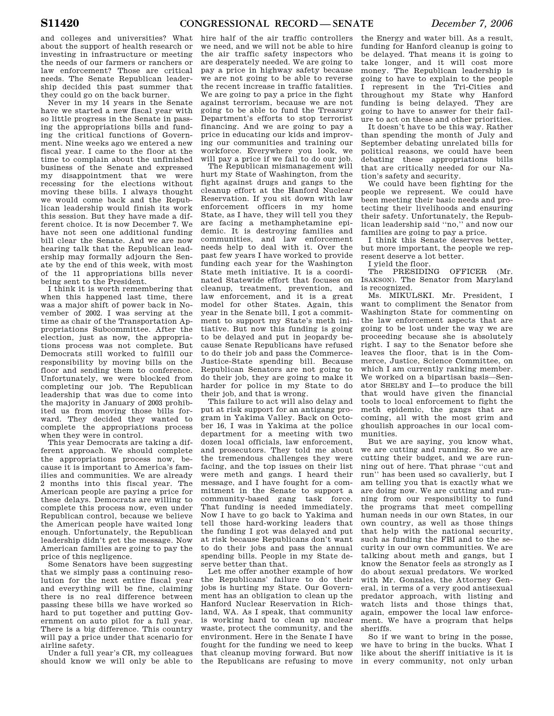and colleges and universities? What about the support of health research or investing in infrastructure or meeting the needs of our farmers or ranchers or law enforcement? Those are critical needs. The Senate Republican leadership decided this past summer that they could go on the back burner.

Never in my 14 years in the Senate have we started a new fiscal year with so little progress in the Senate in passing the appropriations bills and funding the critical functions of Government. Nine weeks ago we entered a new fiscal year. I came to the floor at the time to complain about the unfinished business of the Senate and expressed my disappointment that we were recessing for the elections without moving these bills. I always thought we would come back and the Republican leadership would finish its work this session. But they have made a different choice. It is now December 7. We have not seen one additional funding bill clear the Senate. And we are now hearing talk that the Republican leadership may formally adjourn the Senate by the end of this week, with most of the 11 appropriations bills never being sent to the President.

I think it is worth remembering that when this happened last time, there was a major shift of power back in November of 2002. I was serving at the time as chair of the Transportation Appropriations Subcommittee. After the election, just as now, the appropriations process was not complete. But Democrats still worked to fulfill our responsibility by moving bills on the floor and sending them to conference. Unfortunately, we were blocked from completing our job. The Republican leadership that was due to come into the majority in January of 2003 prohibited us from moving those bills forward. They decided they wanted to complete the appropriations process when they were in control.

This year Democrats are taking a different approach. We should complete the appropriations process now, because it is important to America's families and communities. We are already 2 months into this fiscal year. The American people are paying a price for these delays. Democrats are willing to complete this process now, even under Republican control, because we believe the American people have waited long enough. Unfortunately, the Republican leadership didn't get the message. Now American families are going to pay the price of this negligence.

Some Senators have been suggesting that we simply pass a continuing resolution for the next entire fiscal year and everything will be fine, claiming there is no real difference between passing these bills we have worked so hard to put together and putting Government on auto pilot for a full year. There is a big difference. This country will pay a price under that scenario for airline safety.

Under a full year's CR, my colleagues should know we will only be able to

hire half of the air traffic controllers we need, and we will not be able to hire the air traffic safety inspectors who are desperately needed. We are going to pay a price in highway safety because we are not going to be able to reverse the recent increase in traffic fatalities. We are going to pay a price in the fight against terrorism, because we are not going to be able to fund the Treasury Department's efforts to stop terrorist financing. And we are going to pay a price in educating our kids and improving our communities and training our workforce. Everywhere you look, we will pay a price if we fail to do our job.

The Republican mismanagement will hurt my State of Washington, from the fight against drugs and gangs to the cleanup effort at the Hanford Nuclear Reservation. If you sit down with law enforcement officers in my home State, as I have, they will tell you they are facing a methamphetamine epidemic. It is destroying families and communities, and law enforcement needs help to deal with it. Over the past few years I have worked to provide funding each year for the Washington State meth initiative. It is a coordinated Statewide effort that focuses on cleanup, treatment, prevention, and law enforcement, and it is a great model for other States. Again, this year in the Senate bill, I got a commitment to support my State's meth initiative. But now this funding is going to be delayed and put in jeopardy because Senate Republicans have refused to do their job and pass the Commerce-Justice-State spending bill. Because Republican Senators are not going to do their job, they are going to make it harder for police in my State to do their job, and that is wrong.

This failure to act will also delay and put at risk support for an antigang program in Yakima Valley. Back on October 16, I was in Yakima at the police department for a meeting with two dozen local officials, law enforcement, and prosecutors. They told me about the tremendous challenges they were facing, and the top issues on their list were meth and gangs. I heard their message, and I have fought for a commitment in the Senate to support a community-based gang task force. That funding is needed immediately. Now I have to go back to Yakima and tell those hard-working leaders that the funding I got was delayed and put at risk because Republicans don't want to do their jobs and pass the annual spending bills. People in my State deserve better than that.

Let me offer another example of how the Republicans' failure to do their jobs is hurting my State. Our Government has an obligation to clean up the Hanford Nuclear Reservation in Richland, WA. As I speak, that community is working hard to clean up nuclear waste, protect the community, and the environment. Here in the Senate I have fought for the funding we need to keep that cleanup moving forward. But now the Republicans are refusing to move

the Energy and water bill. As a result, funding for Hanford cleanup is going to be delayed. That means it is going to take longer, and it will cost more money. The Republican leadership is going to have to explain to the people I represent in the Tri-Cities and throughout my State why Hanford funding is being delayed. They are going to have to answer for their failure to act on these and other priorities.

It doesn't have to be this way. Rather than spending the month of July and September debating unrelated bills for political reasons, we could have been debating these appropriations bills that are critically needed for our Nation's safety and security.

We could have been fighting for the people we represent. We could have been meeting their basic needs and protecting their livelihoods and ensuring their safety. Unfortunately, the Republican leadership said ''no,'' and now our families are going to pay a price.

I think this Senate deserves better, but more important, the people we represent deserve a lot better.

I yield the floor.

The PRESIDING OFFICER (Mr. ISAKSON). The Senator from Maryland is recognized.

Ms. MIKULSKI. Mr. President, I want to compliment the Senator from Washington State for commenting on the law enforcement aspects that are going to be lost under the way we are proceeding because she is absolutely right. I say to the Senator before she leaves the floor, that is in the Commerce, Justice, Science Committee, on which I am currently ranking member. We worked on a bipartisan basis—Senator SHELBY and I—to produce the bill that would have given the financial tools to local enforcement to fight the meth epidemic, the gangs that are coming, all with the most grim and ghoulish approaches in our local communities.

But we are saying, you know what, we are cutting and running. So we are cutting their budget, and we are running out of here. That phrase ''cut and run'' has been used so cavalierly, but I am telling you that is exactly what we are doing now. We are cutting and running from our responsibility to fund the programs that meet compelling human needs in our own States, in our own country, as well as those things that help with the national security, such as funding the FBI and to the security in our own communities. We are talking about meth and gangs, but I know the Senator feels as strongly as I do about sexual predators. We worked with Mr. Gonzales, the Attorney General, in terms of a very good antisexual predator approach, with listing and watch lists and those things that, again, empower the local law enforcement. We have a program that helps sheriffs.

So if we want to bring in the posse, we have to bring in the bucks. What I like about the sheriff initiative is it is in every community, not only urban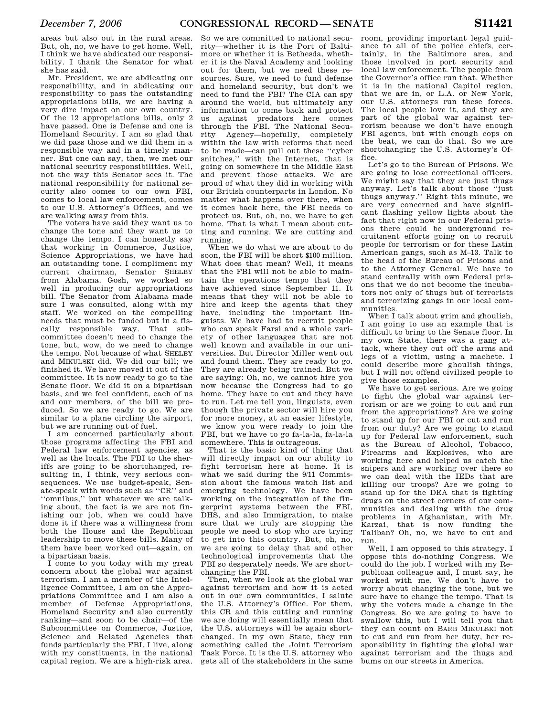areas but also out in the rural areas. But, oh, no, we have to get home. Well, I think we have abdicated our responsibility. I thank the Senator for what she has said.

Mr. President, we are abdicating our responsibility, and in abdicating our responsibility to pass the outstanding appropriations bills, we are having a very dire impact on our own country. Of the 12 appropriations bills, only 2 have passed. One is Defense and one is Homeland Security. I am so glad that we did pass those and we did them in a responsible way and in a timely manner. But one can say, then, we met our national security responsibilities. Well, not the way this Senator sees it. The national responsibility for national security also comes to our own FBI, comes to local law enforcement, comes to our U.S. Attorney's Offices, and we are walking away from this.

The voters have said they want us to change the tone and they want us to change the tempo. I can honestly say that working in Commerce, Justice, Science Appropriations, we have had an outstanding tone. I compliment my current chairman, Senator SHELBY from Alabama. Gosh, we worked so well in producing our appropriations bill. The Senator from Alabama made sure I was consulted, along with my staff. We worked on the compelling needs that must be funded but in a fiscally responsible way. That subcommittee doesn't need to change the tone, but, wow, do we need to change the tempo. Not because of what SHELBY and MIKULSKI did. We did our bill; we finished it. We have moved it out of the committee. It is now ready to go to the Senate floor. We did it on a bipartisan basis, and we feel confident, each of us and our members, of the bill we produced. So we are ready to go. We are similar to a plane circling the airport, but we are running out of fuel.

I am concerned particularly about those programs affecting the FBI and Federal law enforcement agencies, as well as the locals. The FBI to the sheriffs are going to be shortchanged, resulting in, I think, very serious consequences. We use budget-speak, Senate-speak with words such as ''CR'' and ''omnibus,'' but whatever we are talking about, the fact is we are not finishing our job, when we could have done it if there was a willingness from both the House and the Republican leadership to move these bills. Many of them have been worked out—again, on a bipartisan basis.

I come to you today with my great concern about the global war against terrorism. I am a member of the Intelligence Committee, I am on the Appropriations Committee and I am also a member of Defense Appropriations, Homeland Security and also currently ranking—and soon to be chair—of the Subcommittee on Commerce, Justice, Science and Related Agencies that funds particularly the FBI. I live, along with my constituents, in the national capital region. We are a high-risk area.

So we are committed to national security—whether it is the Port of Baltimore or whether it is Bethesda, whether it is the Naval Academy and looking out for them, but we need these resources. Sure, we need to fund defense and homeland security, but don't we need to fund the FBI? The CIA can spy around the world, but ultimately any information to come back and protect us against predators here comes through the FBI. The National Security Agency—hopefully, completely within the law with reforms that need to be made—can pull out these ''cyber snitches,'' with the Internet, that is going on somewhere in the Middle East and prevent those attacks. We are proud of what they did in working with our British counterparts in London. No matter what happens over there, when it comes back here, the FBI needs to protect us. But, oh, no, we have to get home. That is what I mean about cutting and running. We are cutting and running.

When we do what we are about to do soon, the FBI will be short \$100 million. What does that mean? Well, it means that the FBI will not be able to maintain the operations tempo that they have achieved since September 11. It means that they will not be able to hire and keep the agents that they have, including the important linguists. We have had to recruit people who can speak Farsi and a whole variety of other languages that are not well known and available in our universities. But Director Miller went out and found them. They are ready to go. They are already being trained. But we are saying: Oh, no, we cannot hire you now because the Congress had to go home. They have to cut and they have to run. Let me tell you, linguists, even though the private sector will hire you for more money, at an easier lifestyle, we know you were ready to join the FBI, but we have to go fa-la-la, fa-la-la somewhere. This is outrageous.

That is the basic kind of thing that will directly impact on our ability to fight terrorism here at home. It is what we said during the 9/11 Commission about the famous watch list and emerging technology. We have been working on the integration of the fingerprint systems between the FBI, DHS, and also Immigration, to make sure that we truly are stopping the people we need to stop who are trying to get into this country. But, oh, no, we are going to delay that and other technological improvements that the FBI so desperately needs. We are shortchanging the FBI.

Then, when we look at the global war against terrorism and how it is acted out in our own communities, I salute the U.S. Attorney's Office. For them, this CR and this cutting and running we are doing will essentially mean that the U.S. attorneys will be again shortchanged. In my own State, they run something called the Joint Terrorism Task Force. It is the U.S. attorney who gets all of the stakeholders in the same

room, providing important legal guidance to all of the police chiefs, certainly, in the Baltimore area, and those involved in port security and local law enforcement. The people from the Governor's office run that. Whether it is in the national Capitol region, that we are in, or L.A. or New York, our U.S. attorneys run these forces. The local people love it, and they are part of the global war against terrorism because we don't have enough FBI agents, but with enough cops on the beat, we can do that. So we are shortchanging the U.S. Attorney's Office.

Let's go to the Bureau of Prisons. We are going to lose correctional officers. We might say that they are just thugs anyway. Let's talk about those ''just thugs anyway.'' Right this minute, we are very concerned and have significant flashing yellow lights about the fact that right now in our Federal prisons there could be underground recruitment efforts going on to recruit people for terrorism or for these Latin American gangs, such as M–13. Talk to the head of the Bureau of Prisons and to the Attorney General. We have to stand centrally with own Federal prisons that we do not become the incubators not only of thugs but of terrorists and terrorizing gangs in our local communities.

When I talk about grim and ghoulish, I am going to use an example that is difficult to bring to the Senate floor. In my own State, there was a gang attack, where they cut off the arms and legs of a victim, using a machete. I could describe more ghoulish things, but I will not offend civilized people to give those examples.

We have to get serious. Are we going to fight the global war against terrorism or are we going to cut and run from the appropriations? Are we going to stand up for our FBI or cut and run from our duty? Are we going to stand up for Federal law enforcement, such as the Bureau of Alcohol, Tobacco, Firearms and Explosives, who are working here and helped us catch the snipers and are working over there so we can deal with the IEDs that are killing our troops? Are we going to stand up for the DEA that is fighting drugs on the street corners of our communities and dealing with the drug problems in Afghanistan, with Mr. Karzai, that is now funding the Taliban? Oh, no, we have to cut and run.

Well, I am opposed to this strategy. I oppose this do-nothing Congress. We could do the job. I worked with my Republican colleague and, I must say, he worked with me. We don't have to worry about changing the tone, but we sure have to change the tempo. That is why the voters made a change in the Congress. So we are going to have to swallow this, but I will tell you that they can count on BARB MIKULSKI not to cut and run from her duty, her responsibility in fighting the global war against terrorism and the thugs and bums on our streets in America.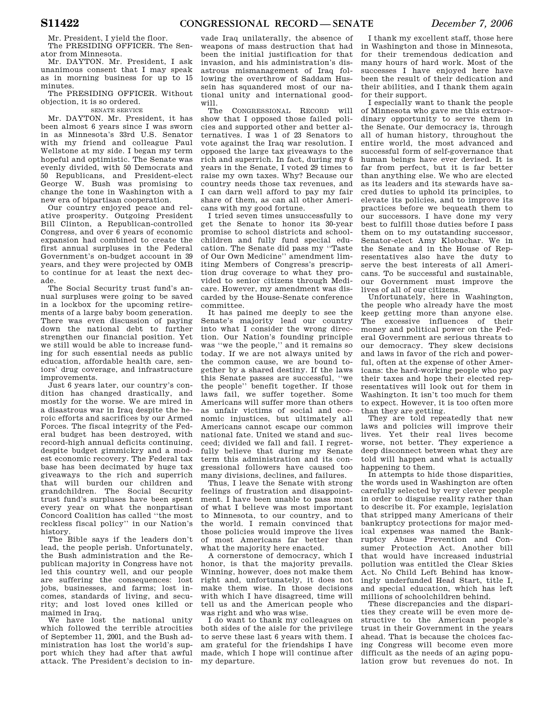Mr. President, I yield the floor.

The PRESIDING OFFICER. The Senator from Minnesota. Mr. DAYTON. Mr. President, I ask unanimous consent that I may speak as in morning business for up to 15

minutes. The PRESIDING OFFICER. Without objection, it is so ordered.

### SENATE SERVICE

Mr. DAYTON. Mr. President, it has been almost 6 years since I was sworn in as Minnesota's 33rd U.S. Senator with my friend and colleague Paul Wellstone at my side. I began my term hopeful and optimistic. The Senate was evenly divided, with 50 Democrats and 50 Republicans, and President-elect George W. Bush was promising to change the tone in Washington with a new era of bipartisan cooperation.

Our country enjoyed peace and relative prosperity. Outgoing President Bill Clinton, a Republican-controlled Congress, and over 6 years of economic expansion had combined to create the first annual surpluses in the Federal Government's on-budget account in 39 years, and they were projected by OMB to continue for at least the next decade.

The Social Security trust fund's annual surpluses were going to be saved in a lockbox for the upcoming retirements of a large baby boom generation. There was even discussion of paying down the national debt to further strengthen our financial position. Yet we still would be able to increase funding for such essential needs as public education, affordable health care, seniors' drug coverage, and infrastructure improvements.

Just 6 years later, our country's condition has changed drastically, and mostly for the worse. We are mired in a disastrous war in Iraq despite the heroic efforts and sacrifices by our Armed Forces. The fiscal integrity of the Federal budget has been destroyed, with record-high annual deficits continuing, despite budget gimmickry and a modest economic recovery. The Federal tax base has been decimated by huge tax giveaways to the rich and superrich that will burden our children and grandchildren. The Social Security trust fund's surpluses have been spent every year on what the nonpartisan Concord Coalition has called ''the most reckless fiscal policy'' in our Nation's history.

The Bible says if the leaders don't lead, the people perish. Unfortunately, the Bush administration and the Republican majority in Congress have not led this country well, and our people are suffering the consequences: lost jobs, businesses, and farms; lost incomes, standards of living, and security; and lost loved ones killed or maimed in Iraq.

We have lost the national unity which followed the terrible atrocities of September 11, 2001, and the Bush administration has lost the world's support which they had after that awful attack. The President's decision to in-

vade Iraq unilaterally, the absence of weapons of mass destruction that had been the initial justification for that invasion, and his administration's disastrous mismanagement of Iraq following the overthrow of Saddam Hussein has squandered most of our national unity and international goodwill.

The CONGRESSIONAL RECORD will show that I opposed those failed policies and supported other and better alternatives. I was 1 of 23 Senators to vote against the Iraq war resolution. I opposed the large tax giveaways to the rich and superrich. In fact, during my 6 years in the Senate, I voted 29 times to raise my own taxes. Why? Because our country needs those tax revenues, and I can darn well afford to pay my fair share of them, as can all other Americans with my good fortune.

I tried seven times unsuccessfully to get the Senate to honor its 30-year promise to school districts and schoolchildren and fully fund special education. The Senate did pass my ''Taste of Our Own Medicine'' amendment limiting Members of Congress's prescription drug coverage to what they provided to senior citizens through Medicare. However, my amendment was discarded by the House-Senate conference committee.

It has pained me deeply to see the Senate's majority lead our country into what I consider the wrong direction. Our Nation's founding principle was ''we the people,'' and it remains so today. If we are not always united by the common cause, we are bound together by a shared destiny. If the laws this Senate passes are successful, ''we the people'' benefit together. If those laws fail, we suffer together. Some Americans will suffer more than others as unfair victims of social and economic injustices, but ultimately all Americans cannot escape our common national fate. United we stand and succeed; divided we fall and fail. I regretfully believe that during my Senate term this administration and its congressional followers have caused too many divisions, declines, and failures.

Thus, I leave the Senate with strong feelings of frustration and disappointment. I have been unable to pass most of what I believe was most important to Minnesota, to our country, and to the world. I remain convinced that those policies would improve the lives of most Americans far better than what the majority here enacted.

A cornerstone of democracy, which I honor, is that the majority prevails. Winning, however, does not make them right and, unfortunately, it does not make them wise. In those decisions with which I have disagreed, time will tell us and the American people who was right and who was wise.

I do want to thank my colleagues on both sides of the aisle for the privilege to serve these last 6 years with them. I am grateful for the friendships I have made, which I hope will continue after my departure.

I thank my excellent staff, those here in Washington and those in Minnesota, for their tremendous dedication and many hours of hard work. Most of the successes I have enjoyed here have been the result of their dedication and their abilities, and I thank them again for their support.

I especially want to thank the people of Minnesota who gave me this extraordinary opportunity to serve them in the Senate. Our democracy is, through all of human history, throughout the entire world, the most advanced and successful form of self-governance that human beings have ever devised. It is far from perfect, but it is far better than anything else. We who are elected as its leaders and its stewards have sacred duties to uphold its principles, to elevate its policies, and to improve its practices before we bequeath them to our successors. I have done my very best to fulfill those duties before I pass them on to my outstanding successor, Senator-elect Amy Klobuchar. We in the Senate and in the House of Representatives also have the duty to serve the best interests of all Americans. To be successful and sustainable, our Government must improve the lives of all of our citizens.

Unfortunately, here in Washington, the people who already have the most keep getting more than anyone else. The excessive influences of their money and political power on the Federal Government are serious threats to our democracy. They skew decisions and laws in favor of the rich and powerful, often at the expense of other Americans: the hard-working people who pay their taxes and hope their elected representatives will look out for them in Washington. It isn't too much for them to expect. However, it is too often more than they are getting.

They are told repeatedly that new laws and policies will improve their lives. Yet their real lives become worse, not better. They experience a deep disconnect between what they are told will happen and what is actually happening to them.

In attempts to hide those disparities, the words used in Washington are often carefully selected by very clever people in order to disguise reality rather than to describe it. For example, legislation that stripped many Americans of their bankruptcy protections for major medical expenses was named the Bankruptcy Abuse Prevention and Consumer Protection Act. Another bill that would have increased industrial pollution was entitled the Clear Skies Act. No Child Left Behind has knowingly underfunded Head Start, title I, and special education, which has left millions of schoolchildren behind.

These discrepancies and the disparities they create will be even more destructive to the American people's trust in their Government in the years ahead. That is because the choices facing Congress will become even more difficult as the needs of an aging population grow but revenues do not. In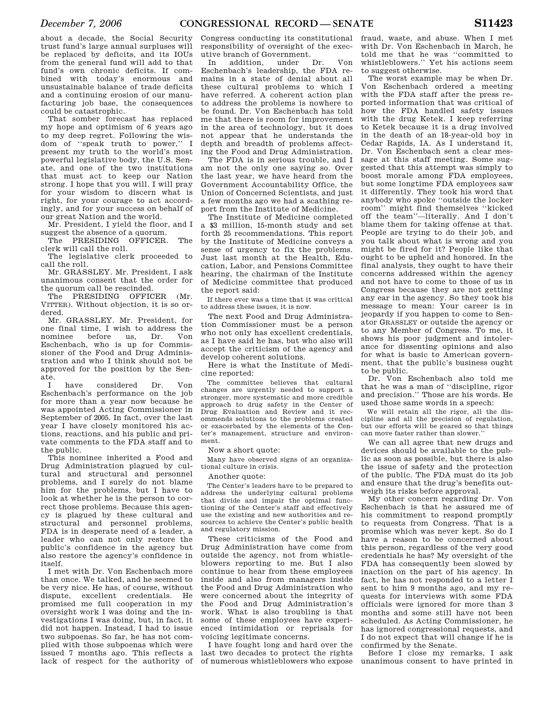about a decade, the Social Security trust fund's large annual surpluses will be replaced by deficits, and its IOUs from the general fund will add to that fund's own chronic deficits. If combined with today's enormous and unsustainable balance of trade deficits and a continuing erosion of our manufacturing job base, the consequences could be catastrophic.

That somber forecast has replaced my hope and optimism of 6 years ago to my deep regret. Following the wisdom of ''speak truth to power,'' I present my truth to the world's most powerful legislative body, the U.S. Senate, and one of the two institutions that must act to keep our Nation strong. I hope that you will. I will pray for your wisdom to discern what is right, for your courage to act accordingly, and for your success on behalf of our great Nation and the world.

Mr. President, I yield the floor, and I suggest the absence of a quorum.

The PRESIDING OFFICER. The clerk will call the roll.

The legislative clerk proceeded to call the roll.

Mr. GRASSLEY. Mr. President, I ask unanimous consent that the order for the quorum call be rescinded.

The PRESIDING OFFICER (Mr. VITTER). Without objection, it is so ordered.

Mr. GRASSLEY. Mr. President, for one final time, I wish to address the<br>nominee before us, Dr. Von before Eschenbach, who is up for Commissioner of the Food and Drug Administration and who I think should not be approved for the position by the Senate.

I have considered Dr. Von Eschenbach's performance on the job for more than a year now because he was appointed Acting Commissioner in September of 2005. In fact, over the last year I have closely monitored his actions, reactions, and his public and private comments to the FDA staff and to the public.

This nominee inherited a Food and Drug Administration plagued by cultural and structural and personnel problems, and I surely do not blame him for the problems, but I have to look at whether he is the person to correct those problems. Because this agency is plagued by these cultural and structural and personnel problems, FDA is in desperate need of a leader, a leader who can not only restore the public's confidence in the agency but also restore the agency's confidence in itself.

I met with Dr. Von Eschenbach more than once. We talked, and he seemed to be very nice. He has, of course, without dispute, excellent credentials. He promised me full cooperation in my oversight work I was doing and the investigations I was doing, but, in fact, it did not happen. Instead, I had to issue two subpoenas. So far, he has not complied with those subpoenas which were issued 7 months ago. This reflects a lack of respect for the authority of

Congress conducting its constitutional responsibility of oversight of the executive branch of Government.

In addition, under Dr. Von Eschenbach's leadership, the FDA remains in a state of denial about all these cultural problems to which I have referred. A coherent action plan to address the problems is nowhere to be found. Dr. Von Eschenbach has told me that there is room for improvement in the area of technology, but it does not appear that he understands the depth and breadth of problems affecting the Food and Drug Administration.

The FDA is in serious trouble, and I am not the only one saying so. Over the last year, we have heard from the Government Accountability Office, the Union of Concerned Scientists, and just a few months ago we had a scathing report from the Institute of Medicine.

The Institute of Medicine completed a \$3 million, 15-month study and set forth 25 recommendations. This report by the Institute of Medicine conveys a sense of urgency to fix the problems. Just last month at the Health, Education, Labor, and Pensions Committee hearing, the chairman of the Institute of Medicine committee that produced the report said:

If there ever was a time that it was critical to address these issues, it is now.

The next Food and Drug Administration Commissioner must be a person who not only has excellent credentials, as I have said he has, but who also will accept the criticism of the agency and develop coherent solutions.

Here is what the Institute of Medicine reported:

The committee believes that cultural changes are urgently needed to support a stronger, more systematic and more credible approach to drug safety in the Center of Drug Evaluation and Review and it recommends solutions to the problems created or exacerbated by the elements of the Center's management, structure and environment.

Now a short quote:

Many have observed signs of an organizational culture in crisis.

#### Another quote:

The Center's leaders have to be prepared to address the underlying cultural problems that divide and impair the optimal functioning of the Center's staff and effectively use the existing and new authorities and resources to achieve the Center's public health and regulatory mission.

These criticisms of the Food and Drug Administration have come from outside the agency, not from whistleblowers reporting to me. But I also continue to hear from these employees inside and also from managers inside the Food and Drug Administration who were concerned about the integrity of the Food and Drug Administration's work. What is also troubling is that some of these employees have experienced intimidation or reprisals for voicing legitimate concerns.

I have fought long and hard over the last two decades to protect the rights of numerous whistleblowers who expose

fraud, waste, and abuse. When I met with Dr. Von Eschenbach in March, he told me that he was ''committed to whistleblowers.'' Yet his actions seem to suggest otherwise.

The worst example may be when Dr. Von Eschenbach ordered a meeting with the FDA staff after the press reported information that was critical of how the FDA handled safety issues with the drug Ketek. I keep referring to Ketek because it is a drug involved in the death of an 18-year-old boy in Cedar Rapids, IA. As I understand it, Dr. Von Eschenbach sent a clear message at this staff meeting. Some suggested that this attempt was simply to boost morale among FDA employees, but some longtime FDA employees saw it differently. They took his word that anybody who spoke ''outside the locker room'' might find themselves ''kicked off the team''—literally. And I don't blame them for taking offense at that. People are trying to do their job, and you talk about what is wrong and you might be fired for it? People like that ought to be upheld and honored. In the final analysis, they ought to have their concerns addressed within the agency and not have to come to those of us in Congress because they are not getting any ear in the agency. So they took his message to mean: Your career is in jeopardy if you happen to come to Senator GRASSLEY or outside the agency or to any Member of Congress. To me, it shows his poor judgment and intolerance for dissenting opinions and also for what is basic to American government, that the public's business ought to be public.

Dr. Von Eschenbach also told me that he was a man of ''discipline, rigor and precision.'' Those are his words. He used those same words in a speech:

We will retain all the rigor, all the discipline and all the precision of regulation, but our efforts will be geared so that things can move faster rather than slower.''

We can all agree that new drugs and devices should be available to the public as soon as possible, but there is also the issue of safety and the protection of the public. The FDA must do its job and ensure that the drug's benefits outweigh its risks before approval.

My other concern regarding Dr. Von Eschenbach is that he assured me of his commitment to respond promptly to requests from Congress. That is a promise which was never kept. So do I have a reason to be concerned about this person, regardless of the very good credentials he has? My oversight of the FDA has consequently been slowed by inaction on the part of his agency. In fact, he has not responded to a letter I sent to him 9 months ago, and my requests for interviews with some FDA officials were ignored for more than 3 months and some still have not been scheduled. As Acting Commissioner, he has ignored congressional requests, and I do not expect that will change if he is confirmed by the Senate.

Before I close my remarks, I ask unanimous consent to have printed in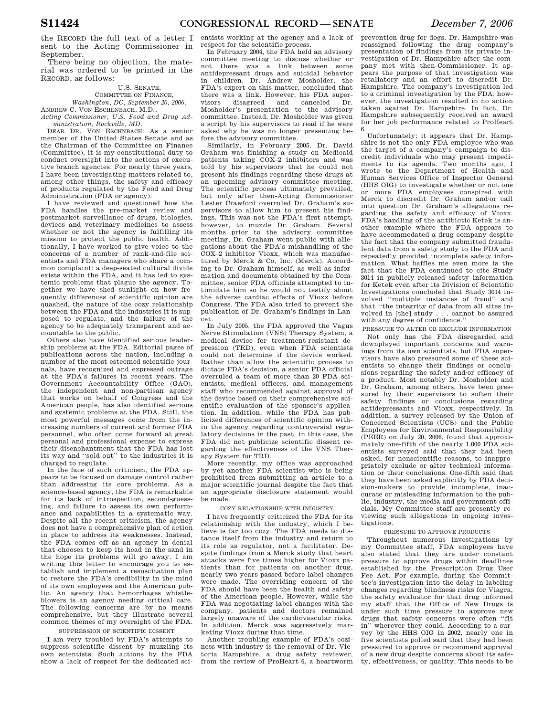the RECORD the full text of a letter I sent to the Acting Commissioner in September.

There being no objection, the material was ordered to be printed in the RECORD, as follows:

### U.S. SENATE, COMMITTEE ON FINANCE,

*Washington, DC, September 20, 2006.*  ANDREW C. VON ESCHENBACH, M.D.,

*Acting Commissioner, U.S. Food and Drug Administration, Rockville, MD.* 

DEAR DR. VON ESCHNBACH: As a senior member of the United States Senate and as the Chairman of the Committee on Finance (Committee), it is my constitutional duty to conduct oversight into the actions of executive branch agencies. For nearly three years, I have been investigating matters related to, among other things, the safety and efficacy of products regulated by the Food and Drug Administration (FDA or agency).

I have reviewed and questioned how the FDA handles the pre-market review and postmarket surveillance of drugs, biologics, devices and veterinary medicines to assess whether or not the agency is fulfilling its mission to protect the public health. Additionally, I have worked to give voice to the concerns of a number of rank-and-file scientists and FDA managers who share a common complaint: a deep-seated cultural divide exists within the FDA, and it has led to systemic problems that plague the agency. Together we have shed sunlight on how frequently differences of scientific opinion are quashed, the nature of the cozy relationship between the FDA and the industries it is supposed to regulate, and the failure of the agency to be adequately transparent and accountable to the public.

Others also have identified serious leadership problems at the FDA. Editorial pages of publications across the nation, including a number of the most esteemed scientific journals, have recognized and expressed outrage at the FDA's failures in recent years. The Government Accountability Office (GAO), the independent and non-partisan agency that works on behalf of Congress and the American people, has also identified serious and systemic problems at the FDA. Still, the most powerful messages come from the increasing numbers of current and former FDA personnel, who often come forward at great personal and professional expense to express their disenchantment that the FDA has lost its way and ''sold out'' to the industries it is charged to regulate.

In the face of such criticism, the FDA appears to be focused on damage control rather than addressing its core problems. As a science-based agency, the FDA is remarkable for its lack of introspection, second-guessing, and failure to assess its own performance and capabilities in a systematic way. Despite all the recent criticism, the agency does not have a comprehensive plan of action in place to address its weaknesses. Instead, the FDA comes off as an agency in denial that chooses to keep its head in the sand in the hope its problems will go away. I am writing this letter to encourage you to establish and implement a resuscitation plan to restore the FDA's credibility in the mind of its own employees and the American public. An agency that hemorrhages whistleblowers is an agency needing critical care. The following concerns are by no means comprehensive, but they illustrate several common themes of my oversight of the FDA. SUPPRESSION OF SCIENTIFIC DISSENT

I am very troubled by FDA's attempts to suppress scientific dissent by muzzling its own scientists. Such actions by the FDA show a lack of respect for the dedicated sci-

entists working at the agency and a lack of respect for the scientific process.

In February 2004, the FDA held an advisory committee meeting to discuss whether or not there was a link between some antidepressant drugs and suicidal behavior in children. Dr. Andrew Mosholder, the FDA's expert on this matter, concluded that there was a link. However, his FDA super-<br>visors disagreed and canceled Dr. disagreed and canceled Mosholder's presentation to the advisory committee. Instead, Dr. Mosholder was given a script by his supervisors to read if he were asked why he was no longer presenting before the advisory committee.

Similarly, in February 2005, Dr. David Graham was finishing a study on Medicaid patients taking COX–2 inhibitors and was told by his supervisors that he could not present his findings regarding these drugs at an upcoming advisory committee meeting. The scientific process ultimately prevailed, but only after then-Acting Commissioner Lester Crawford overruled Dr. Graham's supervisors to allow him to present his findings. This was not the FDA's first attempt, however, to muzzle Dr. Graham. Several months prior to the advisory committee meeting, Dr. Graham went public with allegations about the FDA's mishandling of the COX–2 inhibitor Vioxx, which was manufactured by Merck & Co, Inc. (Merck). According to Dr. Graham himself, as well as information and documents obtained by the Committee, senior FDA officials attempted to intimidate him so he would not testify about the adverse cardiac effects of Vioxx before Congress. The FDA also tried to prevent the publication of Dr. Graham's findings in Lancet.

In July 2005, the FDA approved the Vagus Nerve Stimulation (VNS) Therapy System, a medical device for treatment-resistant depression (TRD), even when FDA scientists could not determine if the device worked. Rather than allow the scientific process to dictate FDA's decision, a senior FDA official overruled a team of more than 20 FDA scientists, medical officers, and management staff who recommended against approval of the device based on their comprehensive scientific evaluation of the sponsor's application. In addition, while the FDA has publicized differences of scientific opinion within the agency regarding controversial regulatory decisions in the past, in this case, the FDA did not publicize scientific dissent regarding the effectiveness of the VNS Therapy System for TRD.

More recently, my office was approached by yet another FDA scientist who is being prohibited from submitting an article to a major scientific journal despite the fact that an appropriate disclosure statement would be made.

#### COZY RELATIONSHIP WITH INDUSTRY

I have frequently criticized the FDA for its relationship with the industry, which I believe is far too cozy. The FDA needs to distance itself from the industry and return to its role as regulator, not a facilitator. Despite findings from a Merck study that heart attacks were five times higher for Vioxx patients than for patients on another drug, nearly two years passed before label changes were made. The overriding concern of the FDA should have been the health and safety of the American people. However, while the FDA was negotiating label changes with the company, patients and doctors remained largely unaware of the cardiovascular risks. In addition, Merck was aggressively marketing Vioxx during that time.

Another troubling example of FDA's coziness with industry is the removal of Dr. Victoria Hampshire, a drug safety reviewer, from the review of ProHeart 6, a heartworm

prevention drug for dogs. Dr. Hampshire was reassigned following the drug company's presentation of findings from its private investigation of Dr. Hampshire after the company met with then-Commissioner. It appears the purpose of that investigation was retaliatory and an effort to discredit Dr. Hampshire. The company's investigation led to a criminal investigation by the FDA; however, the investigation resulted in no action taken against Dr. Hampshire. In fact, Dr. Hampshire subsequently received an award for her job performance related to ProHeart 6.

Unfortunately; it appears that Dr. Hampshire is not the only FDA employee who was the target of a company's campaign to discredit individuals who may present impediments to its agenda. Two months ago, I wrote to the Department of Health and Human Services Office of Inspector General (HHS OIG) to investigate whether or not one or more FDA employees conspired with Merck to discredit Dr. Graham and/or call into question Dr. Graham's allegations regarding the safety and efficacy of Vioxx. FDA's handling of the antibiotic Ketek is another example where the FDA appears to have accommodated a drug company despite the fact that the company submitted fraudulent data from a safety study to the FDA and repeatedly provided incomplete safety information. What baffles me even more is the fact that the FDA continued to cite Study 3014 in publicly released safety information for Ketek even after its Division of Scientific Investigations concluded that Study 3014 involved ''multiple instances of fraud'' and that ''the integrity of data from all sites involved in [the] study . . . cannot be assured with any degree of confidence.''

PRESSURE TO ALTER OR EXCLUDE INFORMATION Not only has the FDA disregarded and downplayed important concerns and warnings from its own scientists, but FDA supervisors have also pressured some of these scientists to change their findings or conclusions regarding the safety and/or efficacy of a product. Most notably Dr. Mosholder and Dr. Graham, among others, have been pressured by their supervisors to soften their safety findings or conclusions regarding antidepressants and Vioxx, respectively. In addition, a survey released by the Union of Concerned Scientists (UCS) and the Public Employees for Environmental Responsibility (PEER) on July 20, 2006, found that approximately one-fifth of the nearly 1,000 FDA scientists surveyed said that they had been asked, for nonscientific reasons, to inappropriately exclude or alter technical information or their conclusions. One-fifth said that they have been asked explicitly by FDA decision-makers to provide incomplete, inaccurate or misleading information to the public, industry, the media and government officials. My Committee staff are presently reviewing such allegations in ongoing investigations.

### PRESSURE TO APPROVE PRODUCTS

Throughout numerous investigations by my Committee staff, FDA employees have also stated that they are under constant pressure to approve drugs within deadlines established by the Prescription Drug User Fee Act. For example, during the Committee's investigation into the delay in labeling changes regarding blindness risks for Viagra, the safety evaluator for that drug informed my staff that the Office of New Drugs is under such time pressure to approve new drugs that safety concerns were often ''fit in'' wherever they could. According to a survey by the HHS OIG in 2002, nearly one in five scientists polled said that they had been pressured to approve or recommend approval of a new drug despite concerns about its safety, effectiveness, or quality. This needs to be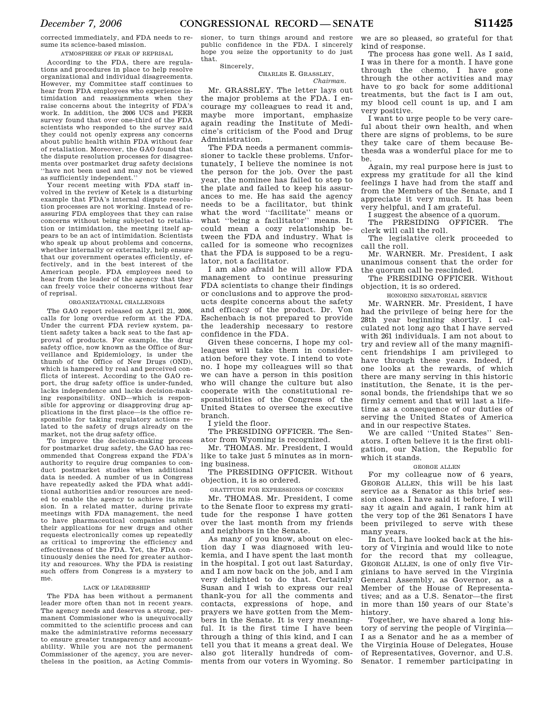corrected immediately, and FDA needs to re-

sume its science-based mission. ATMOSPHERE OF FEAR OF REPRISAL

According to the FDA, there are regulations and procedures in place to help resolve organizational and individual disagreements. However, my Committee staff continues to hear from FDA employees who experience intimidation and reassignments when they raise concerns about the integrity of FDA's work. In addition, the 2006 UCS and PEER survey found that over one-third of the FDA scientists who responded to the survey said they could not openly express any concerns about public health within FDA without fear of retaliation. Moreover, the GAO found that the dispute resolution processes for disagreements over postmarket drug safety decisions ''have not been used and may not be viewed as sufficiently independent.''

Your recent meeting with FDA staff involved in the review of Ketek is a disturbing example that FDA's internal dispute resolution processes are not working. Instead of reassuring FDA employees that they can raise concerns without being subjected to retaliation or intimidation, the meeting itself appears to be an act of intimidation. Scientists who speak up about problems and concerns, whether internally or externally, help ensure that our government operates efficiently, effectively, and in the best interest of the American people. FDA employees need to hear from the leader of the agency that they can freely voice their concerns without fear of reprisal.

### ORGANIZATIONAL CHALLENGES

The GAO report released on April 21, 2006, calls for long overdue reform at the FDA. Under the current FDA review system, patient safety takes a back seat to the fast approval of products. For example, the drug safety office, now known as the Office of Surveillance and Epidemiology, is under the thumb of the Office of New Drugs (OND), which is hampered by real and perceived conflicts of interest. According to the GAO report, the drug safety office is under-funded, lacks independence and lacks decision-making responsibility. OND—which is responsible for approving or disapproving drug applications in the first place—is the office responsible for taking regulatory actions related to the safety of drugs already on the market, not the drug safety office.

To improve the decision-making process for postmarket drug safety, the GAO has recommended that Congress expand the FDA's authority to require drug companies to conduct postmarket studies when additional data is needed. A number of us in Congress have repeatedly asked the FDA what additional authorities and/or resources are needed to enable the agency to achieve its mission. In a related matter, during private meetings with FDA management, the need to have pharmaceutical companies submit their applications for new drugs and other requests electronically comes up repeatedly as critical to improving the efficiency and effectiveness of the FDA. Yet, the FDA continuously denies the need for greater authority and resources. Why the FDA is resisting such offers from Congress is a mystery to me.

#### LACK OF LEADERSHIP

The FDA has been without a permanent leader more often than not in recent years. The agency needs and deserves a strong, permanent Commissioner who is unequivocally committed to the scientific process and can make the administrative reforms necessary to ensure greater transparency and accountability. While you are not the permanent Commissioner of the agency, you are nevertheless in the position, as Acting Commissioner, to turn things around and restore public confidence in the FDA. I sincerely hope you seize the opportunity to do just that.

Sincerely,

#### CHARLES E. GRASSLEY, *Chairman.*

Mr. GRASSLEY. The letter lays out the major problems at the FDA. I encourage my colleagues to read it and, maybe more important, emphasize again reading the Institute of Medicine's criticism of the Food and Drug Administration.

The FDA needs a permanent commissioner to tackle these problems. Unfortunately, I believe the nominee is not the person for the job. Over the past year, the nominee has failed to step to the plate and failed to keep his assurances to me. He has said the agency needs to be a facilitator, but think what the word ''facilitate'' means or what ''being a facilitator'' means. It could mean a cozy relationship between the FDA and industry. What is called for is someone who recognizes that the FDA is supposed to be a regulator, not a facilitator.

I am also afraid he will allow FDA management to continue pressuring FDA scientists to change their findings or conclusions and to approve the products despite concerns about the safety and efficacy of the product. Dr. Von Eschenbach is not prepared to provide the leadership necessary to restore confidence in the FDA.

Given these concerns, I hope my colleagues will take them in consideration before they vote. I intend to vote no. I hope my colleagues will so that we can have a person in this position who will change the culture but also cooperate with the constitutional responsibilities of the Congress of the United States to oversee the executive branch.

I yield the floor.

The PRESIDING OFFICER. The Senator from Wyoming is recognized.

Mr. THOMAS. Mr. President, I would like to take just 5 minutes as in morning business.

The PRESIDING OFFICER. Without objection, it is so ordered.

GRATITUDE FOR EXPRESSIONS OF CONCERN

Mr. THOMAS. Mr. President, I come to the Senate floor to express my gratitude for the response I have gotten over the last month from my friends and neighbors in the Senate.

As many of you know, about on election day I was diagnosed with leukemia, and I have spent the last month in the hospital. I got out last Saturday, and I am now back on the job, and I am very delighted to do that. Certainly Susan and I wish to express our real thank-you for all the comments and contacts, expressions of hope, and prayers we have gotten from the Members in the Senate. It is very meaningful. It is the first time I have been through a thing of this kind, and I can tell you that it means a great deal. We also got literally hundreds of comments from our voters in Wyoming. So

we are so pleased, so grateful for that kind of response.

The process has gone well. As I said, I was in there for a month. I have gone through the chemo, I have gone through the other activities and may have to go back for some additional treatments, but the fact is I am out, my blood cell count is up, and I am very positive.

I want to urge people to be very careful about their own health, and when there are signs of problems, to be sure they take care of them because Bethesda was a wonderful place for me to be.

Again, my real purpose here is just to express my gratitude for all the kind feelings I have had from the staff and from the Members of the Senate, and I appreciate it very much. It has been very helpful, and I am grateful.

I suggest the absence of a quorum.<br>The PRESIDING OFFICER The

The PRESIDING OFFICER. clerk will call the roll.

The legislative clerk proceeded to call the roll.

Mr. WARNER. Mr. President, I ask unanimous consent that the order for the quorum call be rescinded.

The PRESIDING OFFICER. Without objection, it is so ordered.

HONORING SENATORIAL SERVICE

Mr. WARNER. Mr. President, I have had the privilege of being here for the 28th year beginning shortly. I calculated not long ago that I have served with 261 individuals. I am not about to try and review all of the many magnificent friendships I am privileged to have through these years. Indeed, if one looks at the rewards, of which there are many serving in this historic institution, the Senate, it is the personal bonds, the friendships that we so firmly cement and that will last a lifetime as a consequence of our duties of serving the United States of America and in our respective States.

We are called ''United States'' Senators. I often believe it is the first obligation, our Nation, the Republic for which it stands.

#### GEORGE ALLEN

For my colleague now of 6 years, GEORGE ALLEN, this will be his last service as a Senator as this brief session closes. I have said it before, I will say it again and again, I rank him at the very top of the 261 Senators I have been privileged to serve with these many years.

In fact, I have looked back at the history of Virginia and would like to note for the record that my colleague, GEORGE ALLEN, is one of only five Virginians to have served in the Virginia General Assembly, as Governor, as a Member of the House of Representatives; and as a U.S. Senator—the first in more than 150 years of our State's history.

Together, we have shared a long history of serving the people of Virginia— I as a Senator and he as a member of the Virginia House of Delegates, House of Representatives, Governor, and U.S. Senator. I remember participating in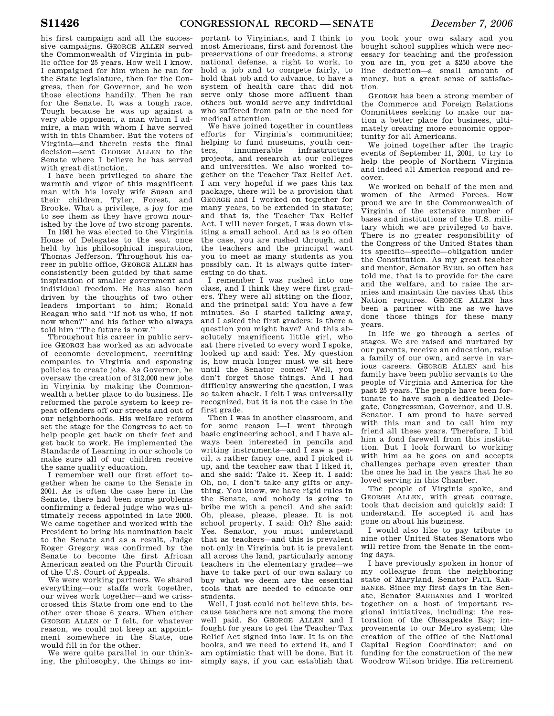his first campaign and all the successive campaigns. GEORGE ALLEN served the Commonwealth of Virginia in public office for 25 years. How well I know. I campaigned for him when he ran for the State legislature, then for the Congress, then for Governor, and he won those elections handily. Then he ran for the Senate. It was a tough race. Tough because he was up against a very able opponent, a man whom I admire, a man with whom I have served with in this Chamber. But the voters of Virginia—and therein rests the final decision—sent GEORGE ALLEN to the Senate where I believe he has served with great distinction.

I have been privileged to share the warmth and vigor of this magnificent man with his lovely wife Susan and their children, Tyler, Forest, and Brooke. What a privilege, a joy for me to see them as they have grown nourished by the love of two strong parents.

In 1981 he was elected to the Virginia House of Delegates to the seat once held by his philosophical inspiration, Thomas Jefferson. Throughout his career in public office, GEORGE ALLEN has consistently been guided by that same inspiration of smaller government and individual freedom. He has also been driven by the thoughts of two other leaders important to him; Ronald Reagan who said ''If not us who, if not now when?'' and his father who always told him ''The future is now.''

Throughout his career in public service GEORGE has worked as an advocate of economic development, recruiting companies to Virginia and espousing policies to create jobs. As Governor, he oversaw the creation of 312,000 new jobs in Virginia by making the Commonwealth a better place to do business. He reformed the parole system to keep repeat offenders off our streets and out of our neighborhoods. His welfare reform set the stage for the Congress to act to help people get back on their feet and get back to work. He implemented the Standards of Learning in our schools to make sure all of our children receive the same quality education.

I remember well our first effort together when he came to the Senate in 2001. As is often the case here in the Senate, there had been some problems confirming a federal judge who was ultimately recess appointed in late 2000. We came together and worked with the President to bring his nomination back to the Senate and as a result, Judge Roger Gregory was confirmed by the Senate to become the first African American seated on the Fourth Circuit of the U.S. Court of Appeals.

We were working partners. We shared everything—our staffs work together, our wives work together—and we crisscrossed this State from one end to the other over those 6 years. When either GEORGE ALLEN or I felt, for whatever reason, we could not keep an appointment somewhere in the State, one would fill in for the other.

We were quite parallel in our thinking, the philosophy, the things so im-

portant to Virginians, and I think to most Americans, first and foremost the preservations of our freedoms, a strong national defense, a right to work, to hold a job and to compete fairly, to hold that job and to advance, to have a system of health care that did not serve only those more affluent than others but would serve any individual who suffered from pain or the need for medical attention.

We have joined together in countless efforts for Virginia's communities; helping to fund museums, youth centers, innumerable infrastructure projects, and research at our colleges and universities. We also worked together on the Teacher Tax Relief Act. I am very hopeful if we pass this tax package, there will be a provision that GEORGE and I worked on together for many years, to be extended in statute; and that is, the Teacher Tax Relief Act. I will never forget, I was down visiting a small school. And as is so often the case, you are rushed through, and the teachers and the principal want you to meet as many students as you possibly can. It is always quite interesting to do that.

I remember I was rushed into one class, and I think they were first graders. They were all sitting on the floor, and the principal said: You have a few minutes. So I started talking away, and I asked the first graders: Is there a question you might have? And this absolutely magnificent little girl, who sat there riveted to every word I spoke, looked up and said: Yes. My question is, how much longer must we sit here until the Senator comes? Well, you don't forget those things. And I had difficulty answering the question, I was so taken aback. I felt I was universally recognized, but it is not the case in the first grade.

Then I was in another classroom, and for some reason I—I went through basic engineering school, and I have always been interested in pencils and writing instruments—and I saw a pencil, a rather fancy one, and I picked it up, and the teacher saw that I liked it, and she said: Take it. Keep it. I said: Oh, no, I don't take any gifts or anything. You know, we have rigid rules in the Senate, and nobody is going to bribe me with a pencil. And she said: Oh, please, please, please. It is not school property. I said: Oh? She said: Yes. Senator, you must understand that as teachers—and this is prevalent not only in Virginia but it is prevalent all across the land, particularly among teachers in the elementary grades—we have to take part of our own salary to buy what we deem are the essential tools that are needed to educate our students.

Well, I just could not believe this, because teachers are not among the more well paid. So GEORGE ALLEN and I fought for years to get the Teacher Tax Relief Act signed into law. It is on the books, and we need to extend it, and I am optimistic that will be done. But it simply says, if you can establish that

you took your own salary and you bought school supplies which were necessary for teaching and the profession you are in, you get a \$250 above the line deduction—a small amount of money, but a great sense of satisfaction.

GEORGE has been a strong member of the Commerce and Foreign Relations Committees seeking to make our nation a better place for business, ultimately creating more economic opportunity for all Americans.

We joined together after the tragic events of September 11, 2001, to try to help the people of Northern Virginia and indeed all America respond and recover.

We worked on behalf of the men and women of the Armed Forces. How proud we are in the Commonwealth of Virginia of the extensive number of bases and institutions of the U.S. military which we are privileged to have. There is no greater responsibility of the Congress of the United States than its specific—specific—obligation under the Constitution. As my great teacher and mentor, Senator BYRD, so often has told me, that is to provide for the care and the welfare, and to raise the armies and maintain the navies that this Nation requires. GEORGE ALLEN has been a partner with me as we have done those things for these many years.

In life we go through a series of stages. We are raised and nurtured by our parents, receive an education, raise a family of our own, and serve in various careers. GEORGE ALLEN and his family have been public servants to the people of Virginia and America for the past 25 years. The people have been fortunate to have such a dedicated Delegate, Congressman, Governor, and U.S. Senator. I am proud to have served with this man and to call him my friend all these years. Therefore, I bid him a fond farewell from this institution. But I look forward to working with him as he goes on and accepts challenges perhaps even greater than the ones he had in the years that he so loved serving in this Chamber.

The people of Virginia spoke, and GEORGE ALLEN, with great courage, took that decision and quickly said: I understand. He accepted it and has gone on about his business.

I would also like to pay tribute to nine other United States Senators who will retire from the Senate in the coming days.

I have previously spoken in honor of my colleague from the neighboring state of Maryland, Senator PAUL SAR-BANES. Since my first days in the Senate, Senator SARBANES and I worked together on a host of important regional initiatives, including: the restoration of the Chesapeake Bay; improvements to our Metro system; the creation of the office of the National Capital Region Coordinator; and on funding for the construction of the new Woodrow Wilson bridge. His retirement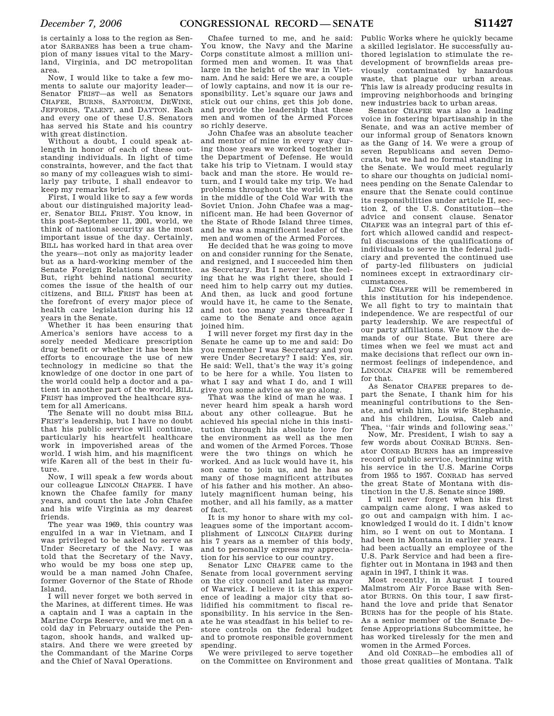is certainly a loss to the region as Senator SARBANES has been a true champion of many issues vital to the Maryland, Virginia, and DC metropolitan area.

Now, I would like to take a few moments to salute our majority leader— Senator FRIST—as well as Senators CHAFEE, BURNS, SANTORUM, DEWINE, JEFFORDS, TALENT, and DAYTON. Each and every one of these U.S. Senators has served his State and his country with great distinction.

Without a doubt, I could speak atlength in honor of each of these outstanding individuals. In light of time constraints, however, and the fact that so many of my colleagues wish to similarly pay tribute, I shall endeavor to keep my remarks brief.

First, I would like to say a few words about our distinguished majority leader, Senator BILL FRIST. You know, in this post-September 11, 2001, world, we think of national security as the most important issue of the day. Certainly, BILL has worked hard in that area over the years—not only as majority leader but as a hard-working member of the Senate Foreign Relations Committee. But, right behind national security comes the issue of the health of our citizens, and BILL FRIST has been at the forefront of every major piece of health care legislation during his 12 years in the Senate.

Whether it has been ensuring that America's seniors have access to a sorely needed Medicare prescription drug benefit or whether it has been his efforts to encourage the use of new technology in medicine so that the knowledge of one doctor in one part of the world could help a doctor and a patient in another part of the world, BILL FRIST has improved the healthcare system for all Americans.

The Senate will no doubt miss BILL FRIST's leadership, but I have no doubt that his public service will continue, particularly his heartfelt healthcare work in impoverished areas of the world. I wish him, and his magnificent wife Karen all of the best in their future.

Now, I will speak a few words about our colleague LINCOLN CHAFEE. I have known the Chafee family for many years, and count the late John Chafee and his wife Virginia as my dearest friends.

The year was 1969, this country was engulfed in a war in Vietnam, and I was privileged to be asked to serve as Under Secretary of the Navy. I was told that the Secretary of the Navy, who would be my boss one step up, would be a man named John Chafee, former Governor of the State of Rhode Island.

I will never forget we both served in the Marines, at different times. He was a captain and I was a captain in the Marine Corps Reserve, and we met on a cold day in February outside the Pentagon, shook hands, and walked upstairs. And there we were greeted by the Commandant of the Marine Corps and the Chief of Naval Operations.

Chafee turned to me, and he said: You know, the Navy and the Marine Corps constitute almost a million uniformed men and women. It was that large in the height of the war in Vietnam. And he said: Here we are, a couple of lowly captains, and now it is our responsibility. Let's square our jaws and stick out our chins, get this job done, and provide the leadership that these men and women of the Armed Forces so richly deserve.

John Chafee was an absolute teacher and mentor of mine in every way during those years we worked together in the Department of Defense. He would take his trip to Vietnam. I would stay back and man the store. He would return, and I would take my trip. We had problems throughout the world. It was in the middle of the Cold War with the Soviet Union. John Chafee was a magnificent man. He had been Governor of the State of Rhode Island three times, and he was a magnificent leader of the men and women of the Armed Forces.

He decided that he was going to move on and consider running for the Senate, and resigned, and I succeeded him then as Secretary. But I never lost the feeling that he was right there, should I need him to help carry out my duties. And then, as luck and good fortune would have it, he came to the Senate, and not too many years thereafter I came to the Senate and once again joined him.

I will never forget my first day in the Senate he came up to me and said: Do you remember I was Secretary and you were Under Secretary? I said: Yes, sir. He said: Well, that's the way it's going to be here for a while. You listen to what I say and what I do, and I will give you some advice as we go along.

That was the kind of man he was. I never heard him speak a harsh word about any other colleague. But he achieved his special niche in this institution through his absolute love for the environment as well as the men and women of the Armed Forces. Those were the two things on which he worked. And as luck would have it, his son came to join us, and he has so many of those magnificent attributes of his father and his mother. An absolutely magnificent human being, his mother, and all his family, as a matter of fact.

It is my honor to share with my colleagues some of the important accomplishment of LINCOLN CHAFEE during his 7 years as a member of this body, and to personally express my appreciation for his service to our country.

Senator LINC CHAFEE came to the Senate from local government serving on the city council and later as mayor of Warwick. I believe it is this experience of leading a major city that solidified his commitment to fiscal responsibility. In his service in the Senate he was steadfast in his belief to restore controls on the federal budget and to promote responsible government spending.

We were privileged to serve together on the Committee on Environment and

Public Works where he quickly became a skilled legislator. He successfully authored legislation to stimulate the redevelopment of brownfields areas previously contaminated by hazardous waste, that plague our urban areas. This law is already producing results in improving neighborhoods and bringing new industries back to urban areas.

Senator CHAFEE was also a leading voice in fostering bipartisanship in the Senate, and was an active member of our informal group of Senators known as the Gang of 14. We were a group of seven Republicans and seven Democrats, but we had no formal standing in the Senate. We would meet regularly to share our thoughts on judicial nominees pending on the Senate Calendar to ensure that the Senate could continue its responsibilities under article II, section 2, of the U.S. Constitution—the advice and consent clause. Senator CHAFEE was an integral part of this effort which allowed candid and respectful discussions of the qualifications of individuals to serve in the federal judiciary and prevented the continued use of party-led filibusters on judicial nominees except in extraordinary circumstances.

LINC CHAFEE will be remembered in this institution for his independence. We all fight to try to maintain that independence. We are respectful of our party leadership. We are respectful of our party affiliations. We know the demands of our State. But there are times when we feel we must act and make decisions that reflect our own innermost feelings of independence, and LINCOLN CHAFEE will be remembered for that.

As Senator CHAFEE prepares to depart the Senate, I thank him for his meaningful contributions to the Senate, and wish him, his wife Stephanie, and his children, Louisa, Caleb and Thea, "fair winds and following seas."

Now, Mr. President, I wish to say a few words about CONRAD BURNS. Senator CONRAD BURNS has an impressive record of public service, beginning with his service in the U.S. Marine Corps from 1955 to 1957. CONRAD has served the great State of Montana with distinction in the U.S. Senate since 1989.

I will never forget when his first campaign came along, I was asked to go out and campaign with him. I acknowledged I would do it. I didn't know him, so I went on out to Montana. I had been in Montana in earlier years. I had been actually an employee of the U.S. Park Service and had been a firefighter out in Montana in 1943 and then again in 1947, I think it was.

Most recently, in August I toured Malmstrom Air Force Base with Senator BURNS. On this tour, I saw firsthand the love and pride that Senator BURNS has for the people of his State. As a senior member of the Senate Defense Appropriations Subcommittee, he has worked tirelessly for the men and women in the Armed Forces.

And old CONRAD—he embodies all of those great qualities of Montana. Talk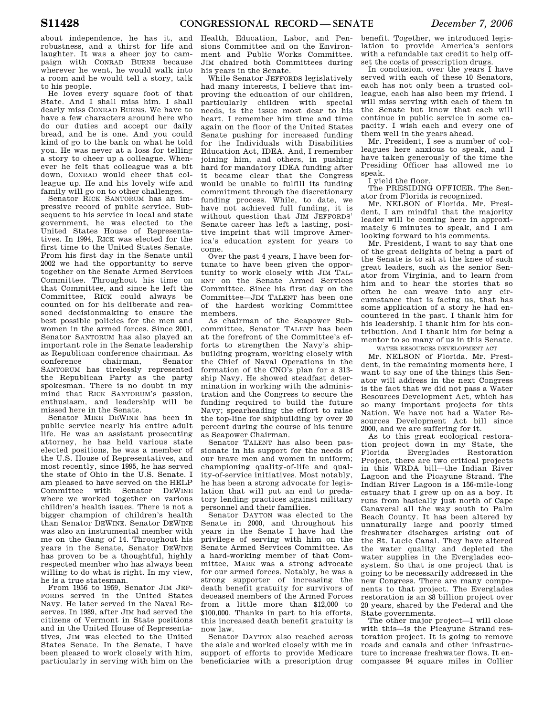about independence, he has it, and robustness, and a thirst for life and laughter. It was a sheer joy to campaign with CONRAD BURNS because wherever he went, he would walk into a room and he would tell a story, talk to his people.

He loves every square foot of that State. And I shall miss him. I shall dearly miss CONRAD BURNS. We have to have a few characters around here who do our duties and accept our daily bread, and he is one. And you could kind of go to the bank on what he told you. He was never at a loss for telling a story to cheer up a colleague. Whenever he felt that colleague was a bit down, CONRAD would cheer that colleague up. He and his lovely wife and family will go on to other challenges.

Senator RICK SANTORUM has an impressive record of public service. Subsequent to his service in local and state government, he was elected to the United States House of Representatives. In 1994, RICK was elected for the first time to the United States Senate. From his first day in the Senate until 2002 we had the opportunity to serve together on the Senate Armed Services Committee. Throughout his time on that Committee, and since he left the Committee, RICK could always be counted on for his deliberate and reasoned decisionmaking to ensure the best possible policies for the men and women in the armed forces. Since 2001, Senator SANTORUM has also played an important role in the Senate leadership as Republican conference chairman. As conference chairman, Senator SANTORUM has tirelessly represented the Republican Party as the party spokesman. There is no doubt in my mind that RICK SANTORUM's passion, enthusiasm, and leadership will be missed here in the Senate.

Senator MIKE DEWINE has been in public service nearly his entire adult life. He was an assistant prosecuting attorney, he has held various state elected positions, he was a member of the U.S. House of Representatives, and most recently, since 1995, he has served the state of Ohio in the U.S. Senate. I am pleased to have served on the HELP Committee with Senator DEWINE where we worked together on various children's health issues. There is not a bigger champion of children's health than Senator DEWINE. Senator DEWINE was also an instrumental member with me on the Gang of 14. Throughout his years in the Senate, Senator DEWINE has proven to be a thoughtful, highly respected member who has always been willing to do what is right. In my view, he is a true statesman.

From 1956 to 1959, Senator JIM JEF-FORDS served in the United States Navy. He later served in the Naval Reserves. In 1989, after JIM had served the citizens of Vermont in State positions and in the United House of Representatives, JIM was elected to the United States Senate. In the Senate, I have been pleased to work closely with him, particularly in serving with him on the

Health, Education, Labor, and Pensions Committee and on the Environment and Public Works Committee. JIM chaired both Committees during his years in the Senate.

While Senator JEFFORDS legislatively had many interests, I believe that improving the education of our children, particularly children with special needs, is the issue most dear to his heart. I remember him time and time again on the floor of the United States Senate pushing for increased funding for the Individuals with Disabilities Education Act, IDEA. And, I remember joining him, and others, in pushing hard for mandatory IDEA funding after it became clear that the Congress would be unable to fulfill its funding commitment through the discretionary funding process. While, to date, we have not achieved full funding, it is without question that JIM JEFFORDS' Senate career has left a lasting, positive imprint that will improve America's education system for years to come.

Over the past 4 years, I have been fortunate to have been given the opportunity to work closely with JIM TAL-ENT on the Senate Armed Services Committee. Since his first day on the Committee—JIM TALENT has been one of the hardest working Committee members.

As chairman of the Seapower Subcommittee, Senator TALENT has been at the forefront of the Committee's efforts to strengthen the Navy's shipbuilding program, working closely with the Chief of Naval Operations in the formation of the CNO's plan for a 313 ship Navy. He showed steadfast determination in working with the administration and the Congress to secure the funding required to build the future Navy; spearheading the effort to raise the top-line for shipbuilding by over 20 percent during the course of his tenure as Seapower Chairman.

Senator TALENT has also been passionate in his support for the needs of our brave men and women in uniform; championing quality-of-life and quality-of-service initiatives. Most notably, he has been a strong advocate for legislation that will put an end to predatory lending practices against military personnel and their families.

Senator DAYTON was elected to the Senate in 2000, and throughout his years in the Senate I have had the privilege of serving with him on the Senate Armed Services Committee. As a hard-working member of that Committee, MARK was a strong advocate for our armed forces. Notably, he was a strong supporter of increasing the death benefit gratuity for survivors of deceased members of the Armed Forces from a little more than \$12,000 to \$100,000. Thanks in part to his efforts, this increased death benefit gratuity is now law.

Senator DAYTON also reached across the aisle and worked closely with me in support of efforts to provide Medicare beneficiaries with a prescription drug

benefit. Together, we introduced legislation to provide America's seniors with a refundable tax credit to help offset the costs of prescription drugs.

In conclusion, over the years I have served with each of these 10 Senators, each has not only been a trusted colleague, each has also been my friend. I will miss serving with each of them in the Senate but know that each will continue in public service in some capacity. I wish each and every one of them well in the years ahead.

Mr. President, I see a number of colleagues here anxious to speak, and I have taken generously of the time the Presiding Officer has allowed me to speak.

I yield the floor.

The PRESIDING OFFICER. The Senator from Florida is recognized.

Mr. NELSON of Florida. Mr. President, I am mindful that the majority leader will be coming here in approximately 6 minutes to speak, and I am looking forward to his comments.

Mr. President, I want to say that one of the great delights of being a part of the Senate is to sit at the knee of such great leaders, such as the senior Senator from Virginia, and to learn from him and to hear the stories that so often he can weave into any circumstance that is facing us, that has some application of a story he had encountered in the past. I thank him for his leadership. I thank him for his contribution. And I thank him for being a mentor to so many of us in this Senate.

WATER RESOURCES DEVELOPMENT ACT

Mr. NELSON of Florida. Mr. President, in the remaining moments here, I want to say one of the things this Senator will address in the next Congress is the fact that we did not pass a Water Resources Development Act, which has so many important projects for this Nation. We have not had a Water Resources Development Act bill since 2000, and we are suffering for it.

As to this great ecological restoration project down in my State, the Everglades Restoration Project, there are two critical projects in this WRDA bill—the Indian River Lagoon and the Picayune Strand. The Indian River Lagoon is a 156-mile-long estuary that I grew up on as a boy. It runs from basically just north of Cape Canaveral all the way south to Palm Beach County. It has been altered by unnaturally large and poorly timed freshwater discharges arising out of the St. Lucie Canal. They have altered the water quality and depleted the water supplies in the Everglades ecosystem. So that is one project that is going to be necessarily addressed in the new Congress. There are many components to that project. The Everglades restoration is an \$8 billion project over 20 years, shared by the Federal and the State governments.

The other major project—I will close with this—is the Picayune Strand restoration project. It is going to remove roads and canals and other infrastructure to increase freshwater flows. It encompasses 94 square miles in Collier